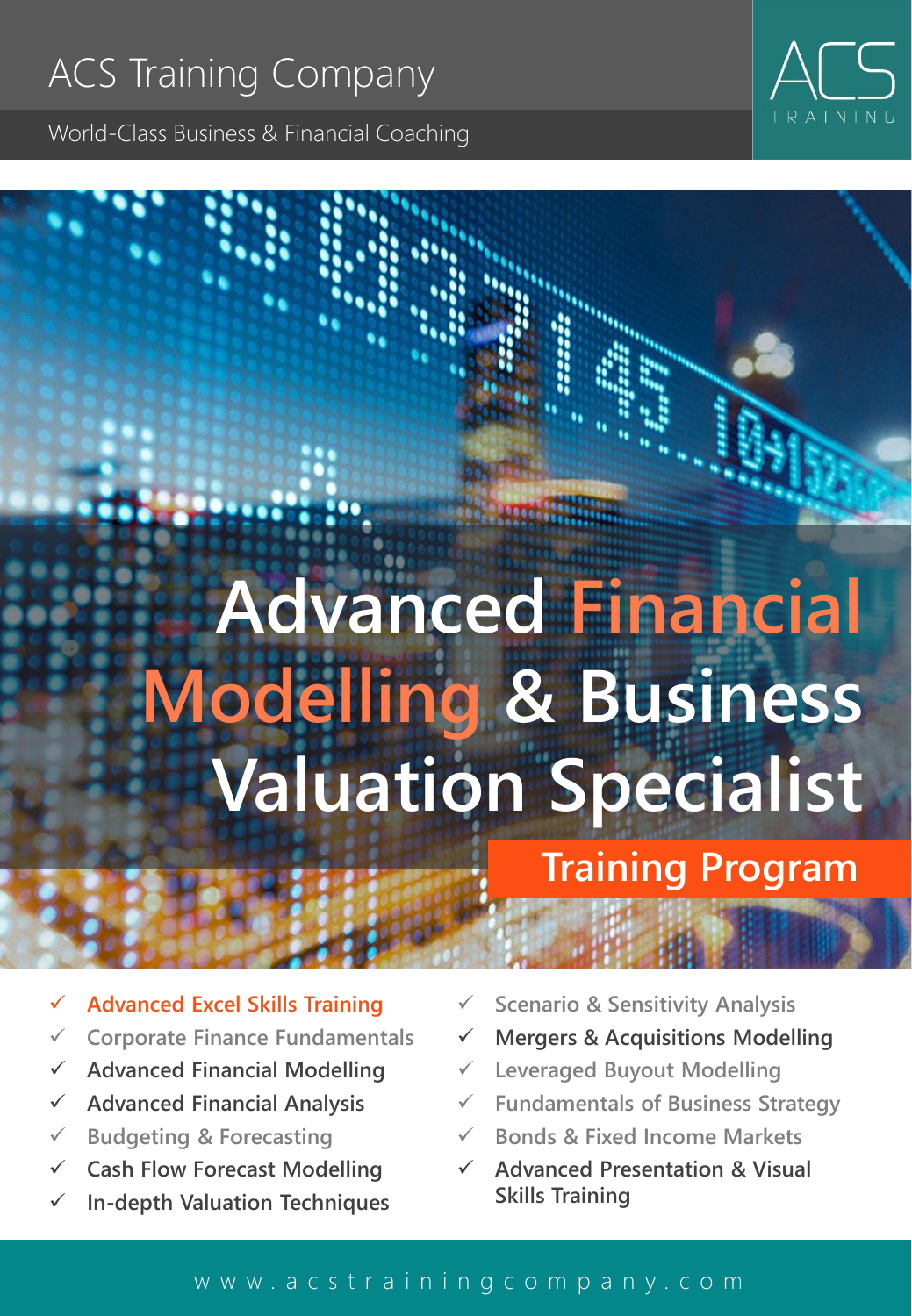World-Class Business & Financial Coaching

# **Advanced Financial Modelling & Business Valuation Specialist**

**Training Program**

- ✓ **Advanced Excel Skills Training**
- ✓ **Corporate Finance Fundamentals**
- ✓ **Advanced Financial Modelling**
- ✓ **Advanced Financial Analysis**
- ✓ **Budgeting & Forecasting**
- ✓ **Cash Flow Forecast Modelling**
- ✓ **In-depth Valuation Techniques**
- ✓ **Scenario & Sensitivity Analysis**
- ✓ **Mergers & Acquisitions Modelling**
- ✓ **Leveraged Buyout Modelling**
- ✓ **Fundamentals of Business Strategy**
- ✓ **Bonds & Fixed Income Markets**
- ✓ **Advanced Presentation & Visual Skills Training**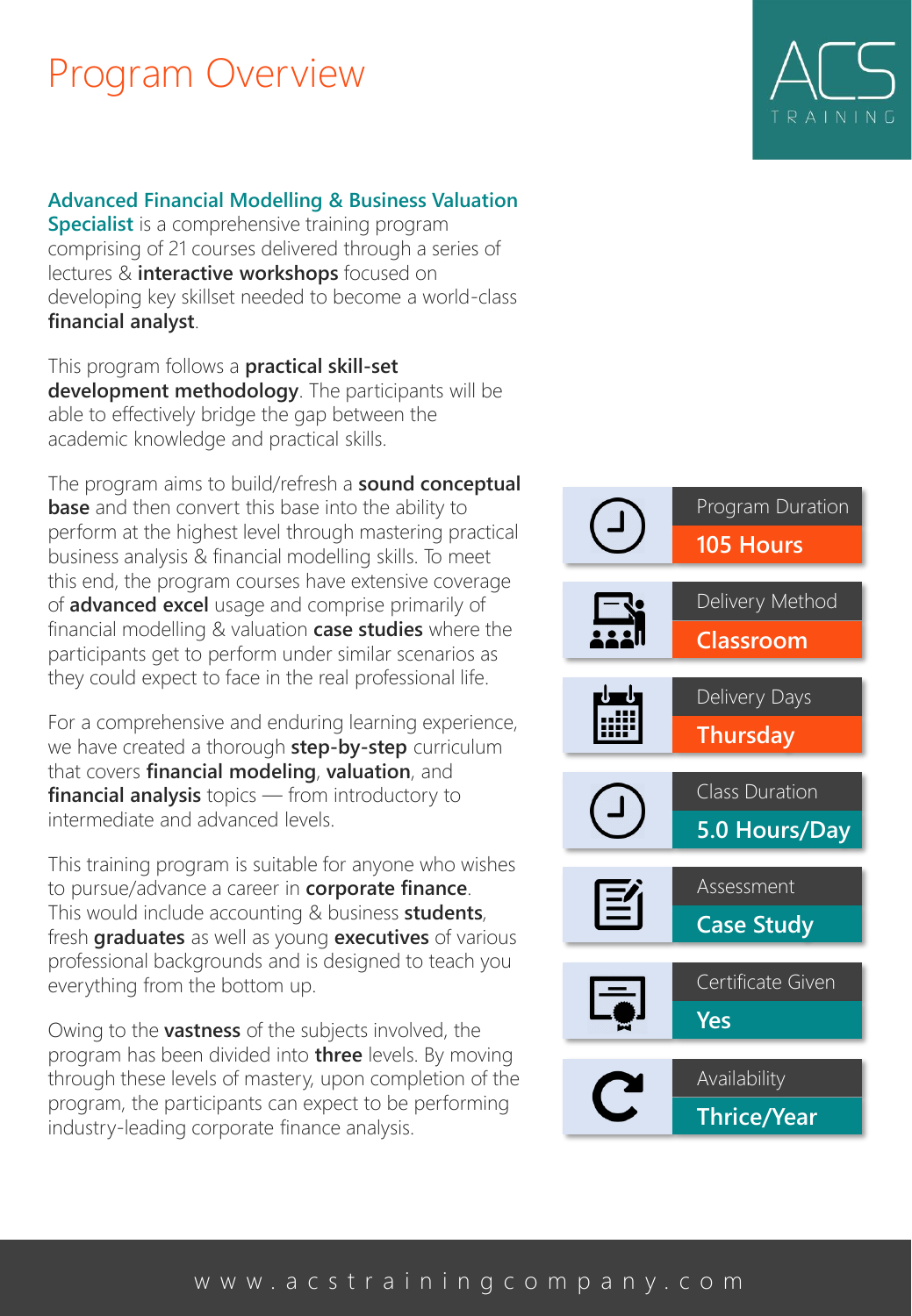### Program Overview

#### **Advanced Financial Modelling & Business Valuation**

**Specialist** is a comprehensive training program comprising of 21 courses delivered through a series of lectures & **interactive workshops** focused on developing key skillset needed to become a world-class **financial analyst**.

This program follows a **practical skill-set development methodology**. The participants will be able to effectively bridge the gap between the academic knowledge and practical skills.

The program aims to build/refresh a **sound conceptual base** and then convert this base into the ability to perform at the highest level through mastering practical business analysis & financial modelling skills. To meet this end, the program courses have extensive coverage of **advanced excel** usage and comprise primarily of financial modelling & valuation **case studies** where the participants get to perform under similar scenarios as they could expect to face in the real professional life.

For a comprehensive and enduring learning experience, we have created a thorough **step-by-step** curriculum that covers **financial modeling**, **valuation**, and **financial analysis** topics — from introductory to intermediate and advanced levels.

This training program is suitable for anyone who wishes to pursue/advance a career in **corporate finance**. This would include accounting & business **students**, fresh **graduates** as well as young **executives** of various professional backgrounds and is designed to teach you everything from the bottom up.

Owing to the **vastness** of the subjects involved, the program has been divided into **three** levels. By moving through these levels of mastery, upon completion of the program, the participants can expect to be performing industry-leading corporate finance analysis.

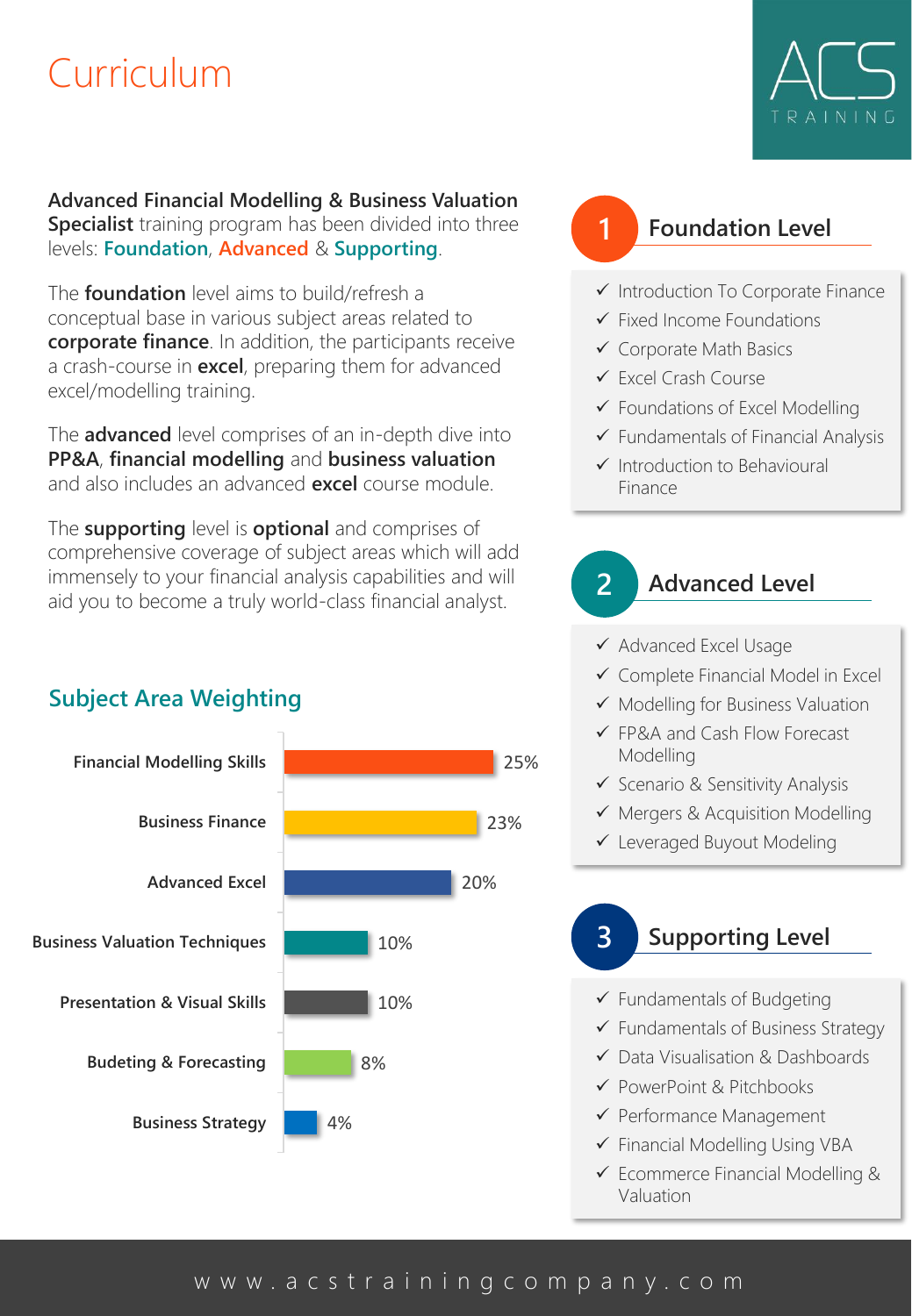### Curriculum



**Advanced Financial Modelling & Business Valuation Specialist** training program has been divided into three

levels: **Foundation**, **Advanced** & **Supporting**.

The **foundation** level aims to build/refresh a conceptual base in various subject areas related to **corporate finance**. In addition, the participants receive a crash-course in **excel**, preparing them for advanced excel/modelling training.

The **advanced** level comprises of an in-depth dive into **PP&A**, **financial modelling** and **business valuation**  and also includes an advanced **excel** course module.

The **supporting** level is **optional** and comprises of comprehensive coverage of subject areas which will add immensely to your financial analysis capabilities and will aid you to become a truly world-class financial analyst.

#### **Subject Area Weighting**



#### **1 Foundation Level**

- ✓ Introduction To Corporate Finance
- ✓ Fixed Income Foundations
- ✓ Corporate Math Basics
- ✓ Excel Crash Course
- ✓ Foundations of Excel Modelling
- $\checkmark$  Fundamentals of Financial Analysis
- ✓ Introduction to Behavioural Finance

**2 Advanced Level**

- ✓ Advanced Excel Usage
- ✓ Complete Financial Model in Excel
- ✓ Modelling for Business Valuation
- ✓ FP&A and Cash Flow Forecast Modelling
- ✓ Scenario & Sensitivity Analysis
- ✓ Mergers & Acquisition Modelling
- ✓ Leveraged Buyout Modeling

#### **3 Supporting Level**

- ✓ Fundamentals of Budgeting
- ✓ Fundamentals of Business Strategy
- ✓ Data Visualisation & Dashboards
- ✓ PowerPoint & Pitchbooks
- ✓ Performance Management
- ✓ Financial Modelling Using VBA
- ✓ Ecommerce Financial Modelling & Valuation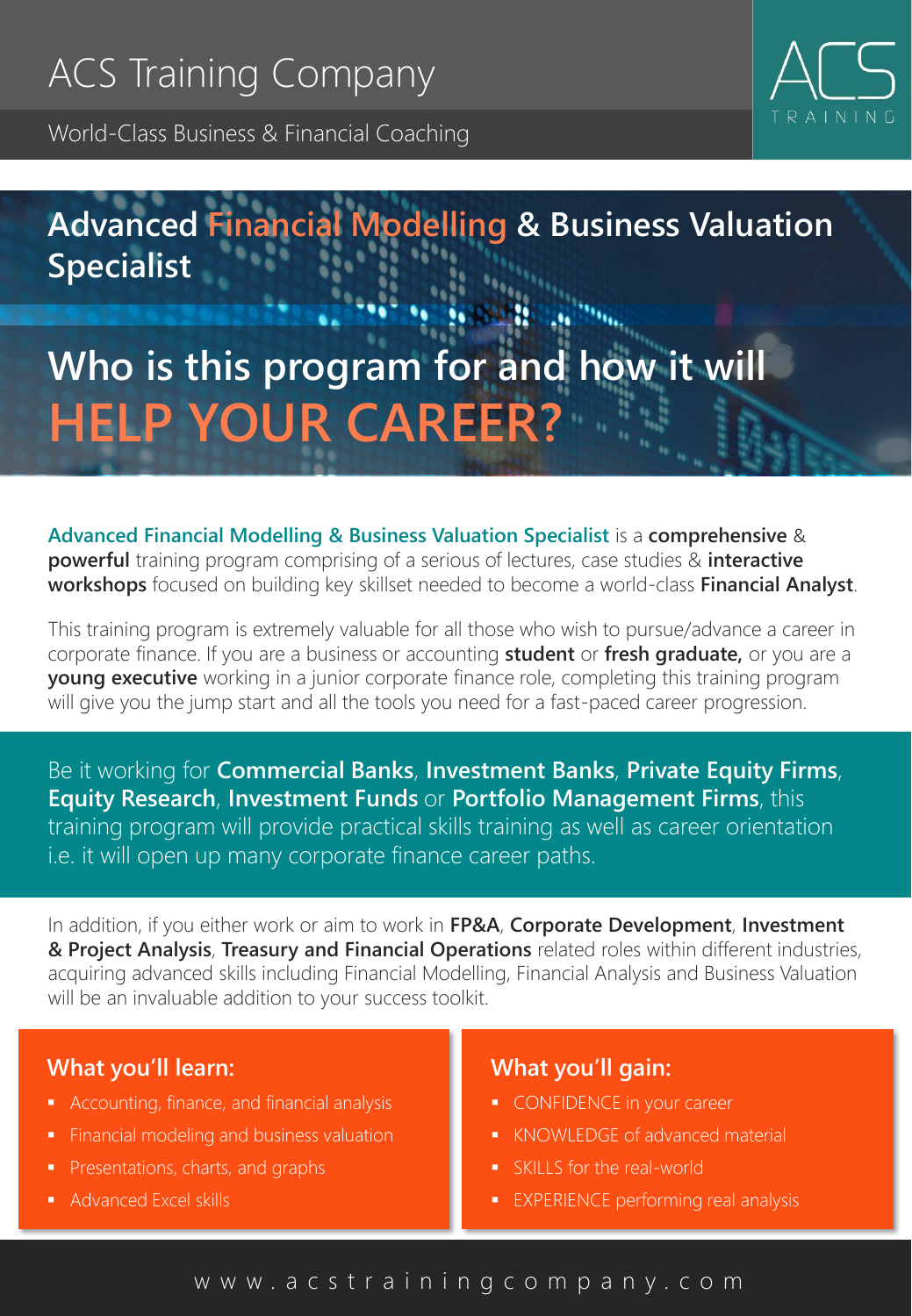World-Class Business & Financial Coaching



### **Advanced Financial Modelling & Business Valuation Specialist**

## **Who is this program for and how it will HELP YOUR CAREER?**

**Advanced Financial Modelling & Business Valuation Specialist** is a **comprehensive** & **powerful** training program comprising of a serious of lectures, case studies & **interactive workshops** focused on building key skillset needed to become a world-class **Financial Analyst**.

This training program is extremely valuable for all those who wish to pursue/advance a career in corporate finance. If you are a business or accounting **student** or **fresh graduate,** or you are a **young executive** working in a junior corporate finance role, completing this training program will give you the jump start and all the tools you need for a fast-paced career progression.

Be it working for **Commercial Banks**, **Investment Banks**, **Private Equity Firms**, **Equity Research**, **Investment Funds** or **Portfolio Management Firms**, this training program will provide practical skills training as well as career orientation i.e. it will open up many corporate finance career paths.

In addition, if you either work or aim to work in **FP&A**, **Corporate Development**, **Investment & Project Analysis**, **Treasury and Financial Operations** related roles within different industries, acquiring advanced skills including Financial Modelling, Financial Analysis and Business Valuation will be an invaluable addition to your success toolkit.

#### **What you'll learn:**

- Accounting, finance, and financial analysis
- Financial modeling and business valuation
- Presentations, charts, and graphs
- **Advanced Excel skills**

#### **What you'll gain:**

- **CONFIDENCE in your career**
- **KNOWLEDGE of advanced material**
- **SKILLS** for the real-world
- **EXPERIENCE performing real analysis**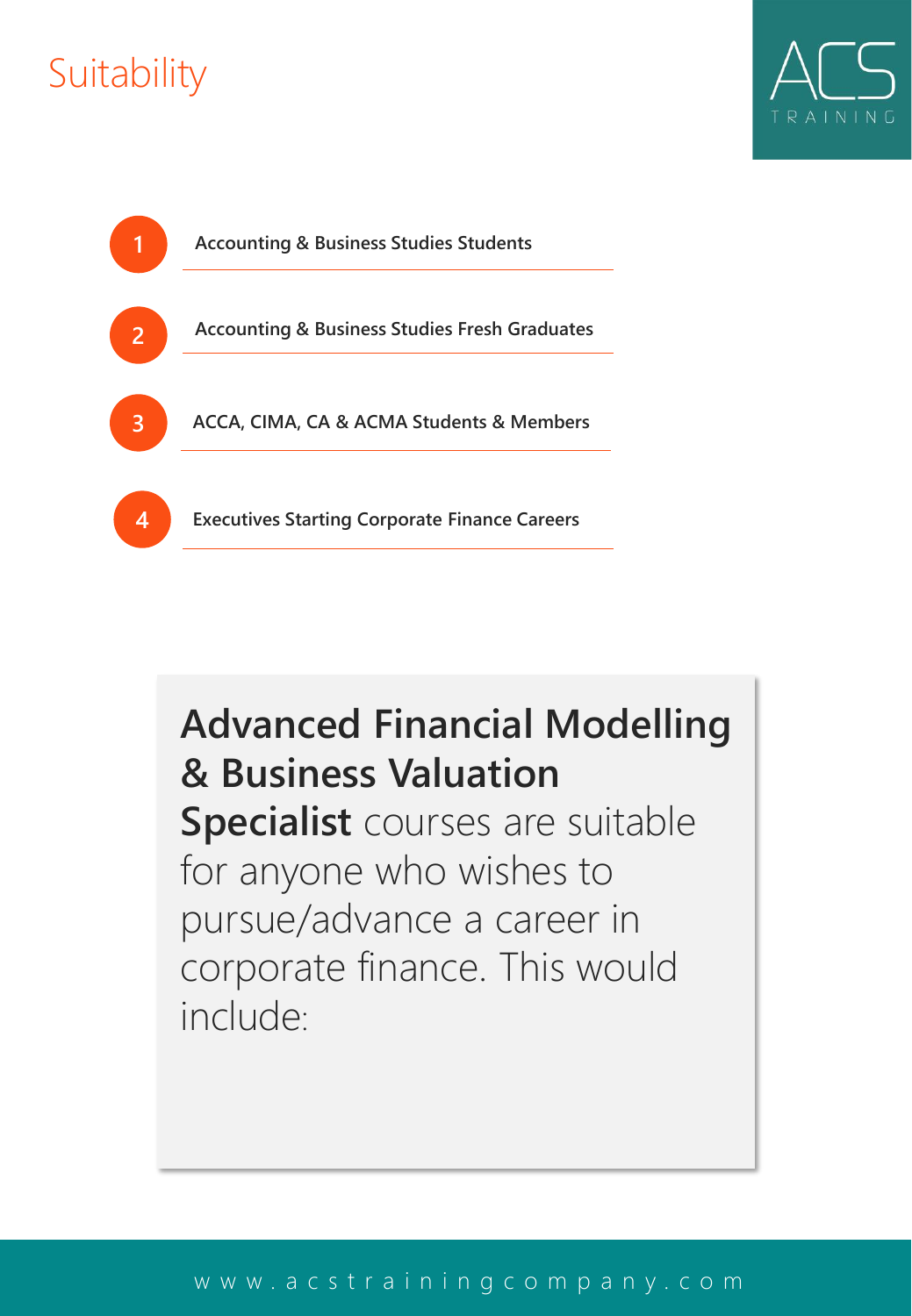## **Suitability**





## **Advanced Financial Modelling & Business Valuation Specialist** courses are suitable for anyone who wishes to

pursue/advance a career in corporate finance. This would include: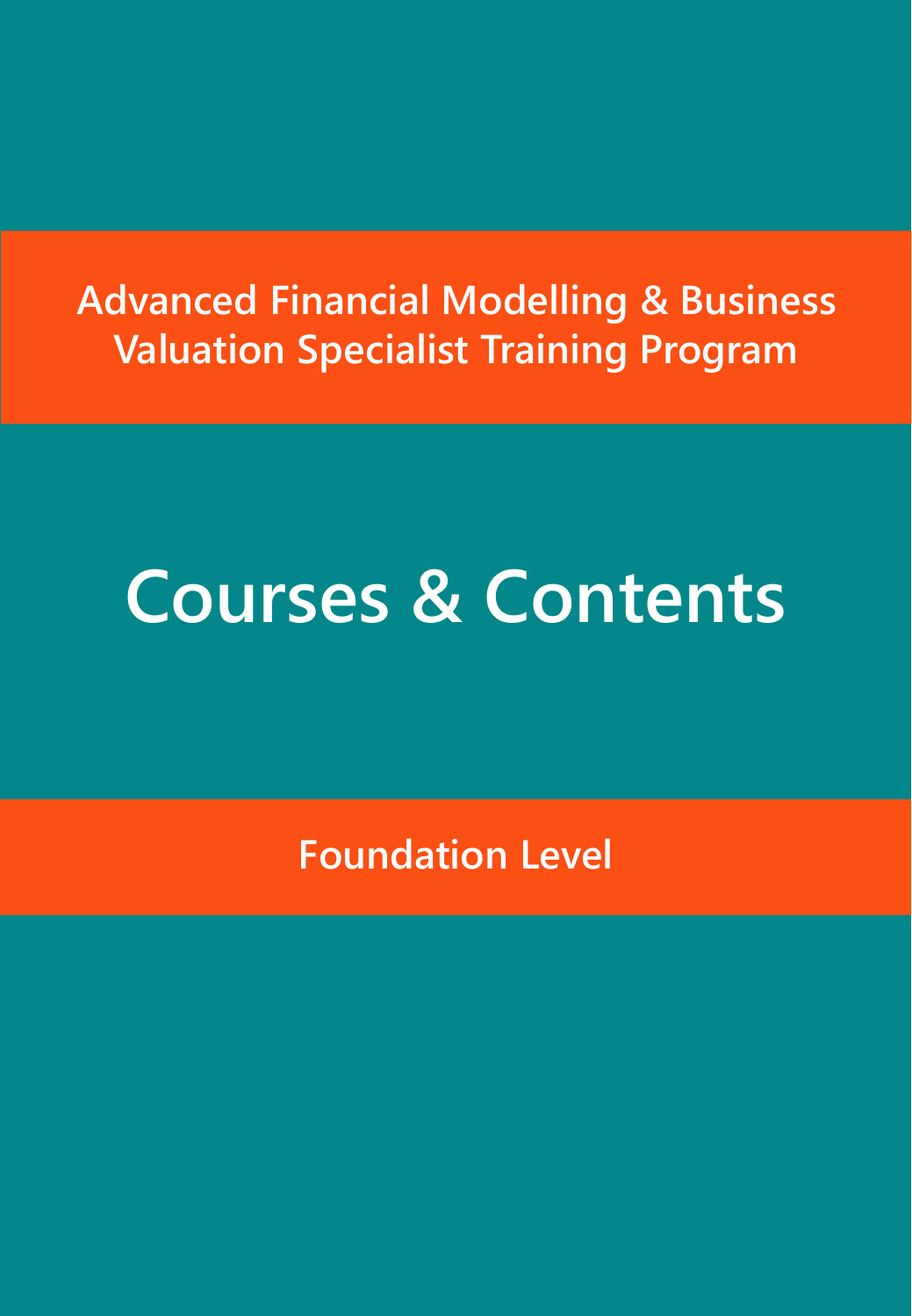## **Advanced Financial Modelling & Business Valuation Specialist Training Program**

## **Courses & Contents**

**Foundation Level**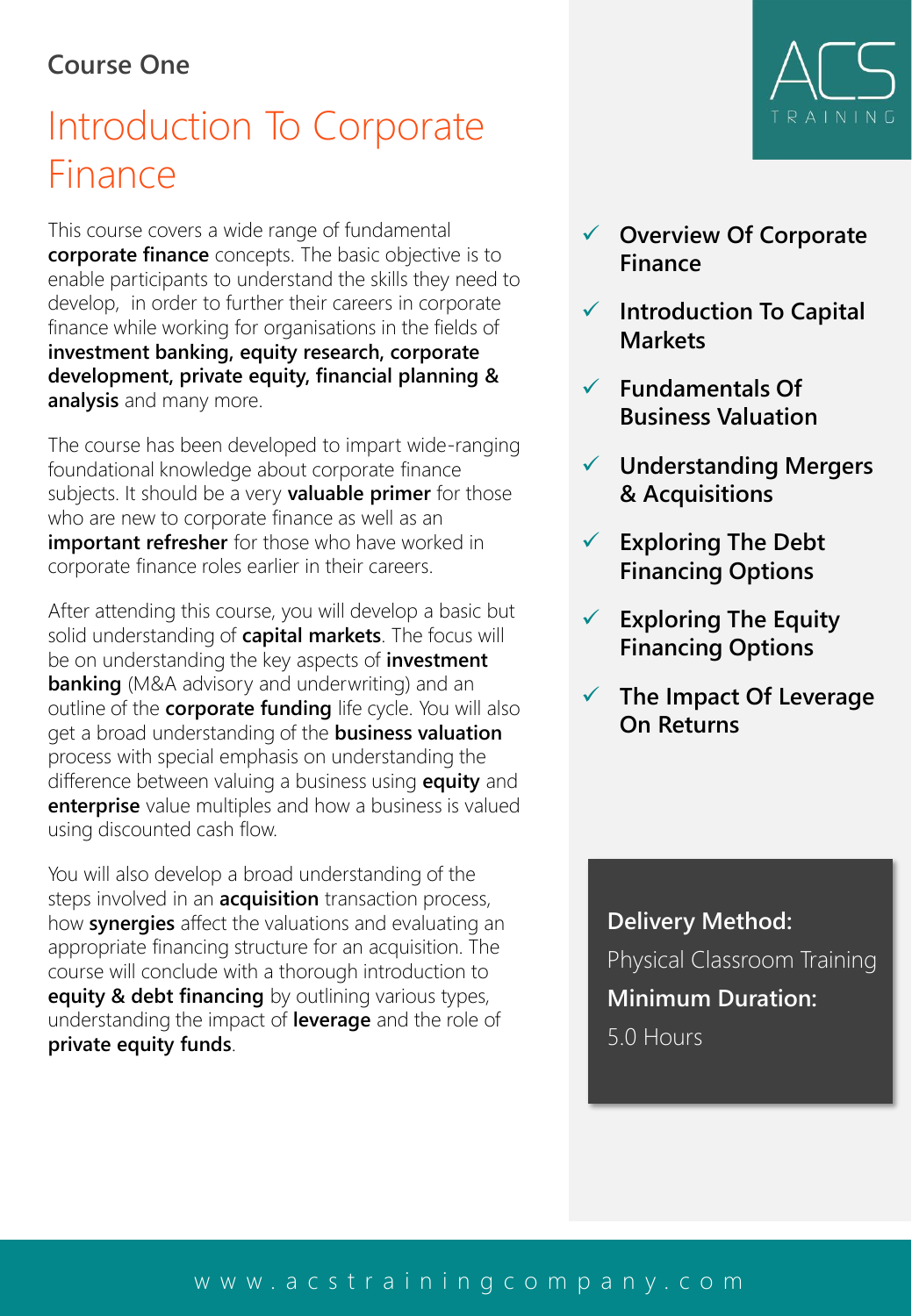#### **Course One**

## Introduction To Corporate Finance

This course covers a wide range of fundamental **corporate finance** concepts. The basic objective is to enable participants to understand the skills they need to develop, in order to further their careers in corporate finance while working for organisations in the fields of **investment banking, equity research, corporate development, private equity, financial planning & analysis** and many more.

The course has been developed to impart wide-ranging foundational knowledge about corporate finance subjects. It should be a very **valuable primer** for those who are new to corporate finance as well as an **important refresher** for those who have worked in corporate finance roles earlier in their careers.

After attending this course, you will develop a basic but solid understanding of **capital markets**. The focus will be on understanding the key aspects of **investment banking** (M&A advisory and underwriting) and an outline of the **corporate funding** life cycle. You will also get a broad understanding of the **business valuation** process with special emphasis on understanding the difference between valuing a business using **equity** and **enterprise** value multiples and how a business is valued using discounted cash flow.

You will also develop a broad understanding of the steps involved in an **acquisition** transaction process, how **synergies** affect the valuations and evaluating an appropriate financing structure for an acquisition. The course will conclude with a thorough introduction to **equity & debt financing** by outlining various types, understanding the impact of **leverage** and the role of **private equity funds**.

# TRAINING

- ✓ **Overview Of Corporate Finance**
- ✓ **Introduction To Capital Markets**
- ✓ **Fundamentals Of Business Valuation**
- ✓ **Understanding Mergers & Acquisitions**
- ✓ **Exploring The Debt Financing Options**
- ✓ **Exploring The Equity Financing Options**
- ✓ **The Impact Of Leverage On Returns**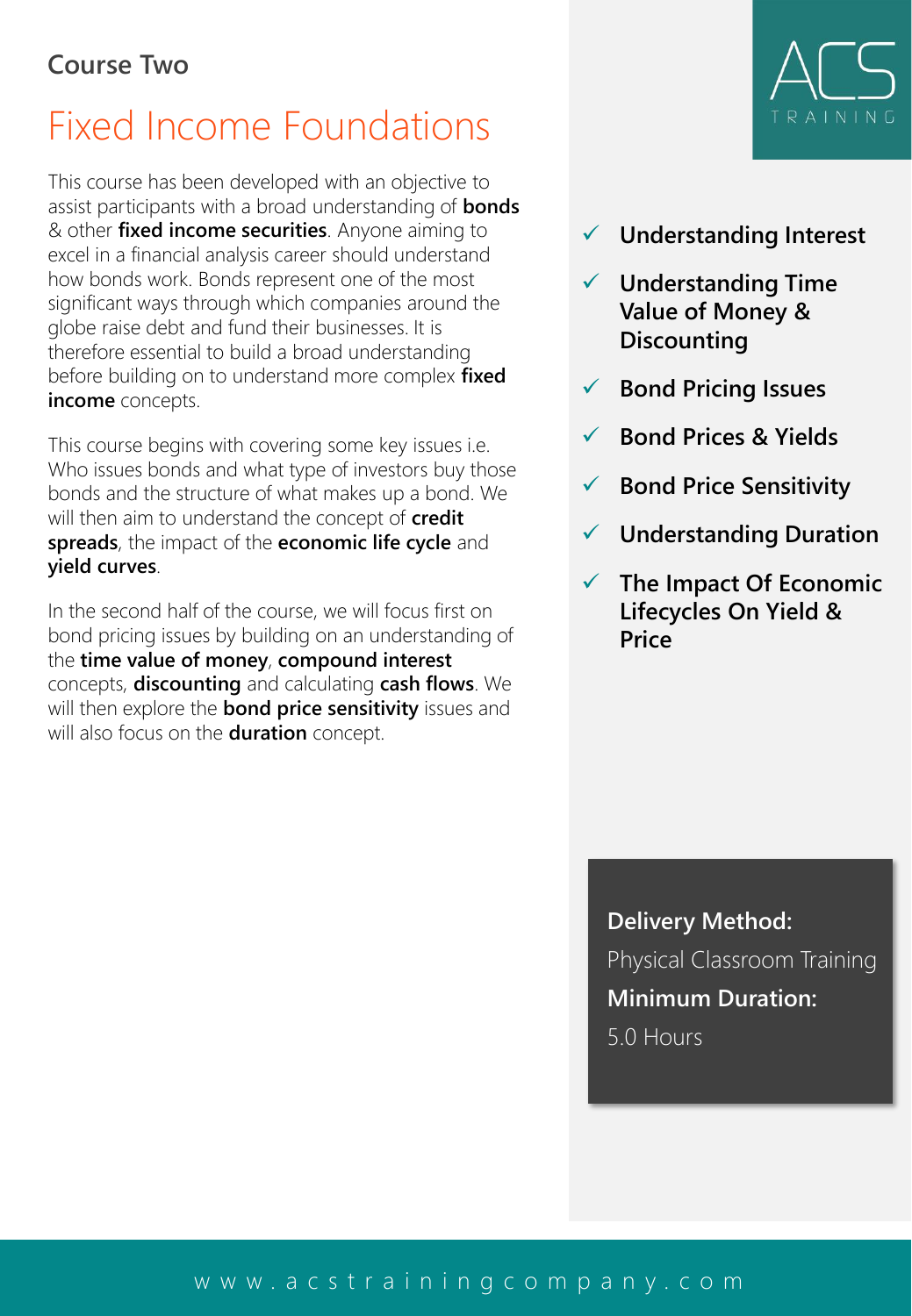## Fixed Income Foundations

This course has been developed with an objective to assist participants with a broad understanding of **bonds**  & other **fixed income securities**. Anyone aiming to excel in a financial analysis career should understand how bonds work. Bonds represent one of the most significant ways through which companies around the globe raise debt and fund their businesses. It is therefore essential to build a broad understanding before building on to understand more complex **fixed income** concepts.

This course begins with covering some key issues i.e. Who issues bonds and what type of investors buy those bonds and the structure of what makes up a bond. We will then aim to understand the concept of **credit spreads**, the impact of the **economic life cycle** and **yield curves**.

In the second half of the course, we will focus first on bond pricing issues by building on an understanding of the **time value of money**, **compound interest**  concepts, **discounting** and calculating **cash flows**. We will then explore the **bond price sensitivity** issues and will also focus on the **duration** concept.



- ✓ **Understanding Interest**
- ✓ **Understanding Time Value of Money & Discounting**
- ✓ **Bond Pricing Issues**
- ✓ **Bond Prices & Yields**
- ✓ **Bond Price Sensitivity**
- ✓ **Understanding Duration**
- ✓ **The Impact Of Economic Lifecycles On Yield & Price**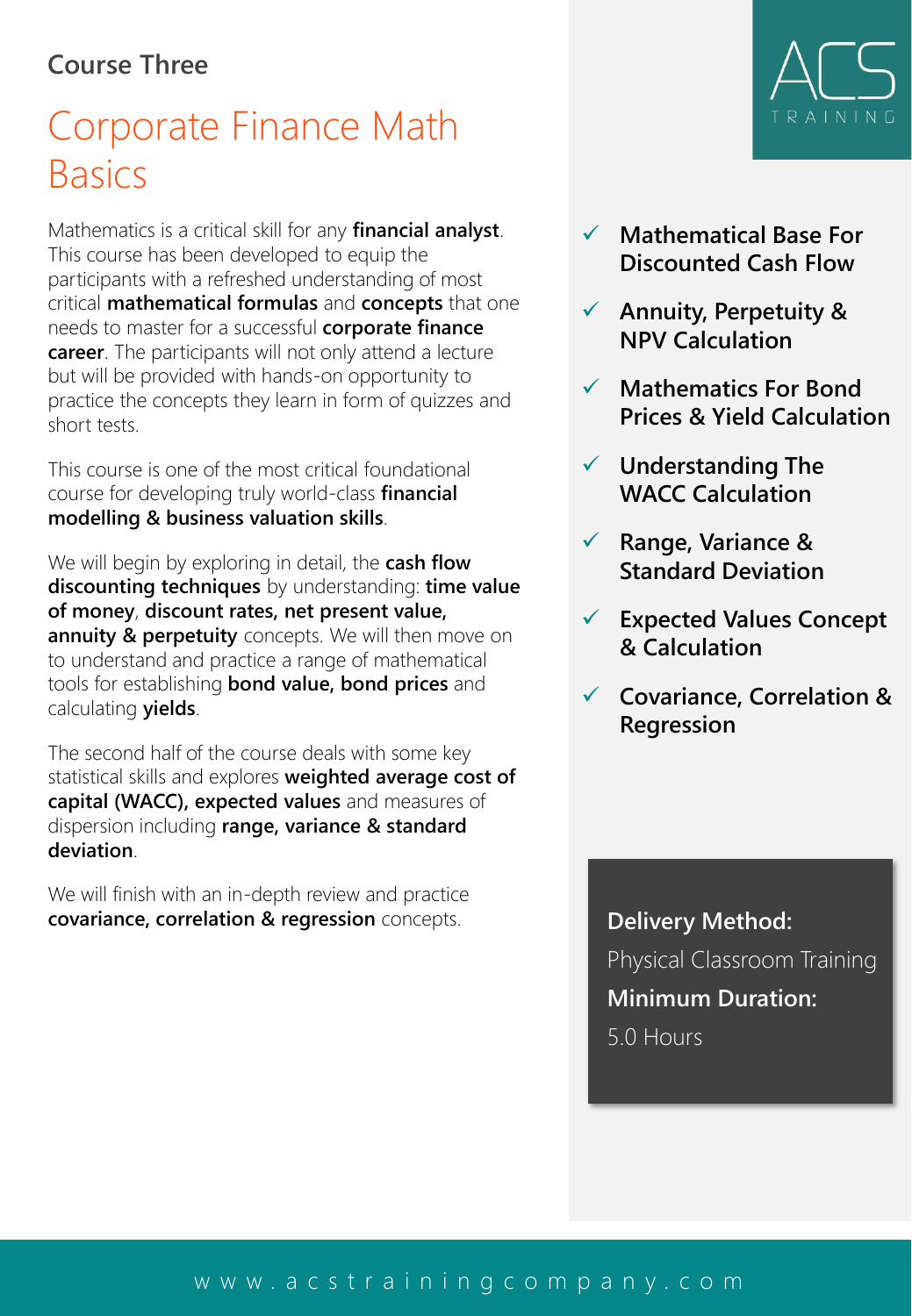#### **Course Three**

## Corporate Finance Math **Basics**

Mathematics is a critical skill for any **financial analyst**. This course has been developed to equip the participants with a refreshed understanding of most critical **mathematical formulas** and **concepts** that one needs to master for a successful **corporate finance career**. The participants will not only attend a lecture but will be provided with hands-on opportunity to practice the concepts they learn in form of quizzes and short tests.

This course is one of the most critical foundational course for developing truly world-class **financial modelling & business valuation skills**.

We will begin by exploring in detail, the **cash flow discounting techniques** by understanding: **time value of money**, **discount rates, net present value, annuity & perpetuity** concepts. We will then move on to understand and practice a range of mathematical tools for establishing **bond value, bond prices** and calculating **yields**.

The second half of the course deals with some key statistical skills and explores **weighted average cost of capital (WACC), expected values** and measures of dispersion including **range, variance & standard deviation**.

We will finish with an in-depth review and practice **covariance, correlation & regression** concepts. **Delivery Method:** 



- ✓ **Mathematical Base For Discounted Cash Flow**
- ✓ **Annuity, Perpetuity & NPV Calculation**
- ✓ **Mathematics For Bond Prices & Yield Calculation**
- ✓ **Understanding The WACC Calculation**
- ✓ **Range, Variance & Standard Deviation**
- ✓ **Expected Values Concept & Calculation**
- ✓ **Covariance, Correlation & Regression**

Physical Classroom Training **Minimum Duration:** 5.0 Hours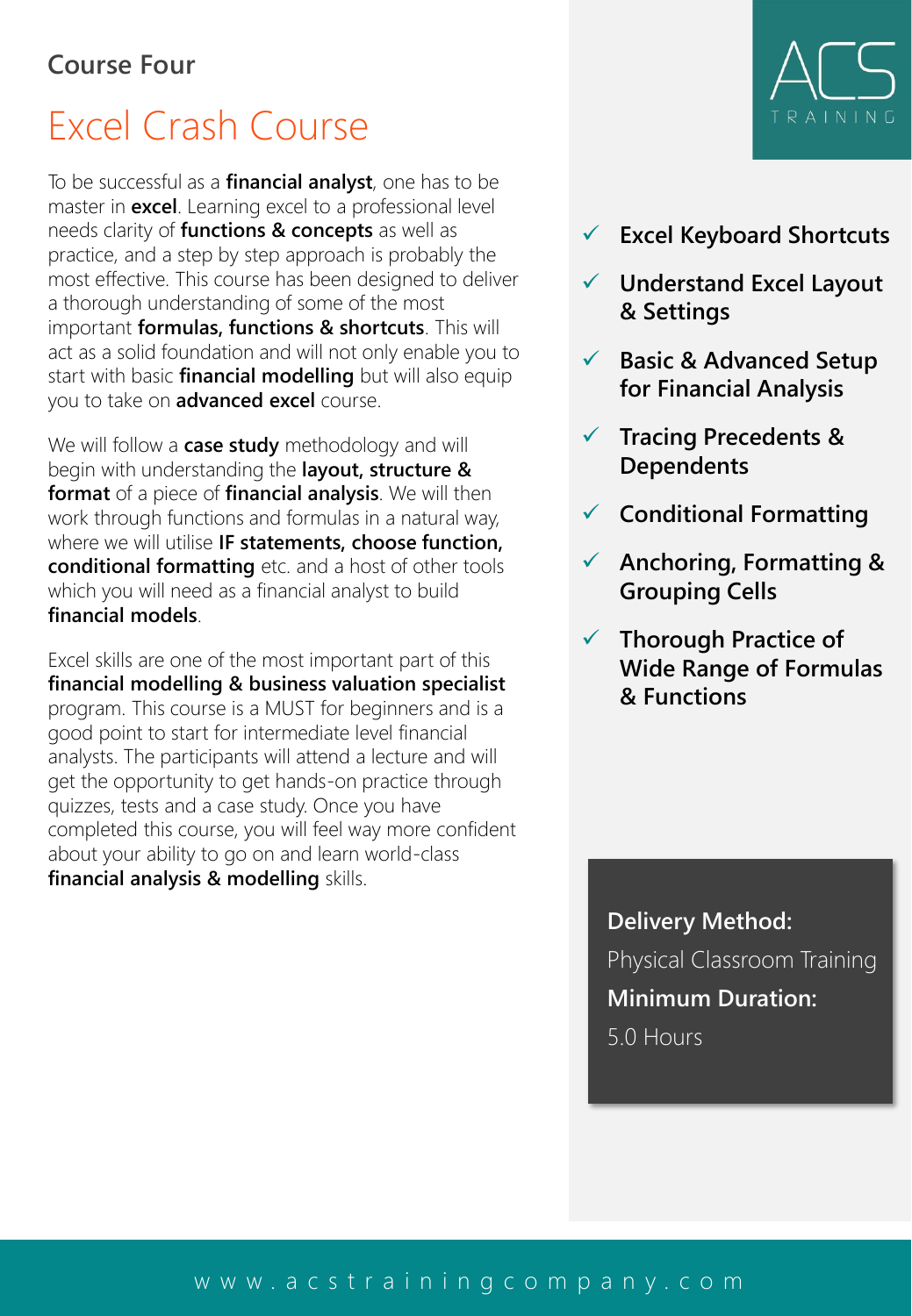## Excel Crash Course

To be successful as a **financial analyst**, one has to be master in **excel**. Learning excel to a professional level needs clarity of **functions & concepts** as well as practice, and a step by step approach is probably the most effective. This course has been designed to deliver a thorough understanding of some of the most important **formulas, functions & shortcuts**. This will act as a solid foundation and will not only enable you to start with basic **financial modelling** but will also equip you to take on **advanced excel** course.

We will follow a **case study** methodology and will begin with understanding the **layout, structure & format** of a piece of **financial analysis**. We will then work through functions and formulas in a natural way, where we will utilise **IF statements, choose function, conditional formatting** etc. and a host of other tools which you will need as a financial analyst to build **financial models**.

Excel skills are one of the most important part of this **financial modelling & business valuation specialist**  program. This course is a MUST for beginners and is a good point to start for intermediate level financial analysts. The participants will attend a lecture and will get the opportunity to get hands-on practice through quizzes, tests and a case study. Once you have completed this course, you will feel way more confident about your ability to go on and learn world-class **financial analysis & modelling** skills.



- ✓ **Excel Keyboard Shortcuts**
- ✓ **Understand Excel Layout & Settings**
- ✓ **Basic & Advanced Setup for Financial Analysis**
- ✓ **Tracing Precedents & Dependents**
- ✓ **Conditional Formatting**
- ✓ **Anchoring, Formatting & Grouping Cells**
- ✓ **Thorough Practice of Wide Range of Formulas & Functions**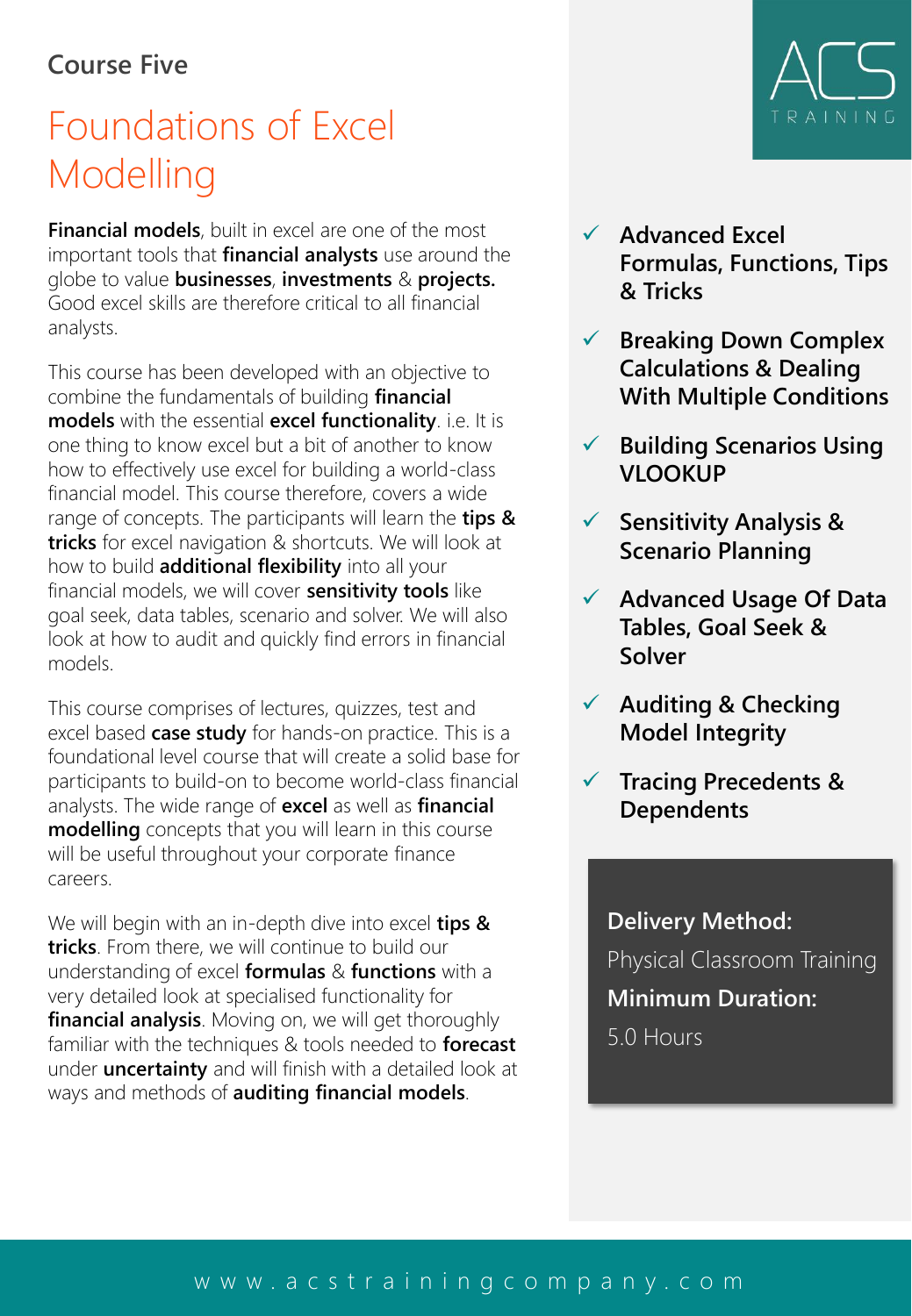#### **Course Five**

## Foundations of Excel Modelling

**Financial models**, built in excel are one of the most important tools that **financial analysts** use around the globe to value **businesses**, **investments** & **projects.** Good excel skills are therefore critical to all financial analysts.

This course has been developed with an objective to combine the fundamentals of building **financial models** with the essential **excel functionality**. i.e. It is one thing to know excel but a bit of another to know how to effectively use excel for building a world-class financial model. This course therefore, covers a wide range of concepts. The participants will learn the **tips & tricks** for excel navigation & shortcuts. We will look at how to build **additional flexibility** into all your financial models, we will cover **sensitivity tools** like goal seek, data tables, scenario and solver. We will also look at how to audit and quickly find errors in financial models.

This course comprises of lectures, quizzes, test and excel based **case study** for hands-on practice. This is a foundational level course that will create a solid base for participants to build-on to become world-class financial analysts. The wide range of **excel** as well as **financial modelling** concepts that you will learn in this course will be useful throughout your corporate finance careers.

We will begin with an in-depth dive into excel **tips & tricks**. From there, we will continue to build our understanding of excel **formulas** & **functions** with a very detailed look at specialised functionality for **financial analysis**. Moving on, we will get thoroughly familiar with the techniques & tools needed to **forecast** under **uncertainty** and will finish with a detailed look at ways and methods of **auditing financial models**.



- ✓ **Advanced Excel Formulas, Functions, Tips & Tricks**
- ✓ **Breaking Down Complex Calculations & Dealing With Multiple Conditions**
- ✓ **Building Scenarios Using VLOOKUP**
- ✓ **Sensitivity Analysis & Scenario Planning**
- ✓ **Advanced Usage Of Data Tables, Goal Seek & Solver**
- ✓ **Auditing & Checking Model Integrity**
- ✓ **Tracing Precedents & Dependents**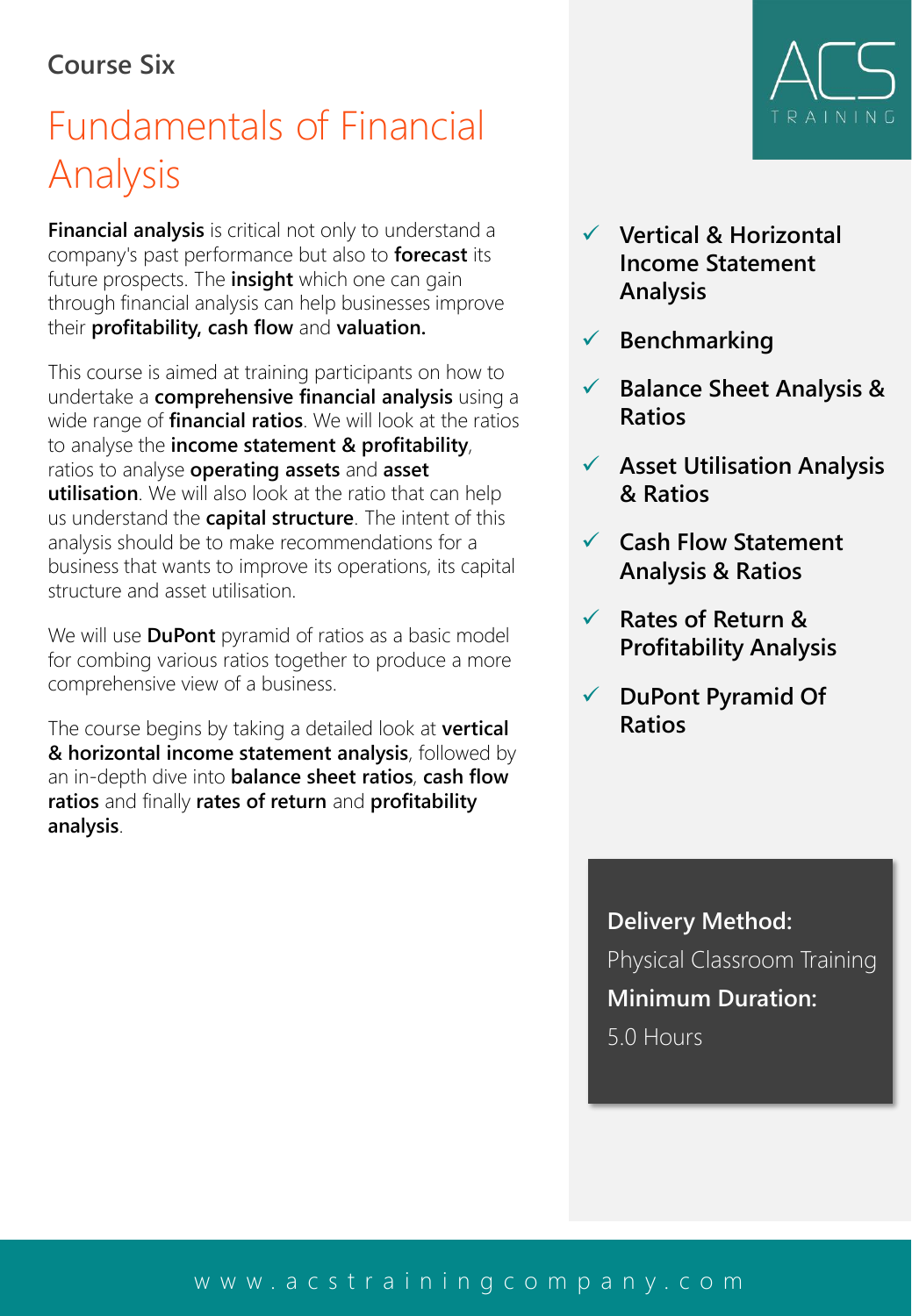#### **Course Six**

## Fundamentals of Financial Analysis

**Financial analysis** is critical not only to understand a company's past performance but also to **forecast** its future prospects. The **insight** which one can gain through financial analysis can help businesses improve their **profitability, cash flow** and **valuation.**

This course is aimed at training participants on how to undertake a **comprehensive financial analysis** using a wide range of **financial ratios**. We will look at the ratios to analyse the **income statement & profitability**, ratios to analyse **operating assets** and **asset utilisation**. We will also look at the ratio that can help us understand the **capital structure**. The intent of this analysis should be to make recommendations for a business that wants to improve its operations, its capital structure and asset utilisation.

We will use **DuPont** pyramid of ratios as a basic model for combing various ratios together to produce a more comprehensive view of a business.

The course begins by taking a detailed look at **vertical & horizontal income statement analysis**, followed by an in-depth dive into **balance sheet ratios**, **cash flow ratios** and finally **rates of return** and **profitability analysis**.



- ✓ **Vertical & Horizontal Income Statement Analysis**
- ✓ **Benchmarking**
- ✓ **Balance Sheet Analysis & Ratios**
- ✓ **Asset Utilisation Analysis & Ratios**
- ✓ **Cash Flow Statement Analysis & Ratios**
- ✓ **Rates of Return & Profitability Analysis**
- ✓ **DuPont Pyramid Of Ratios**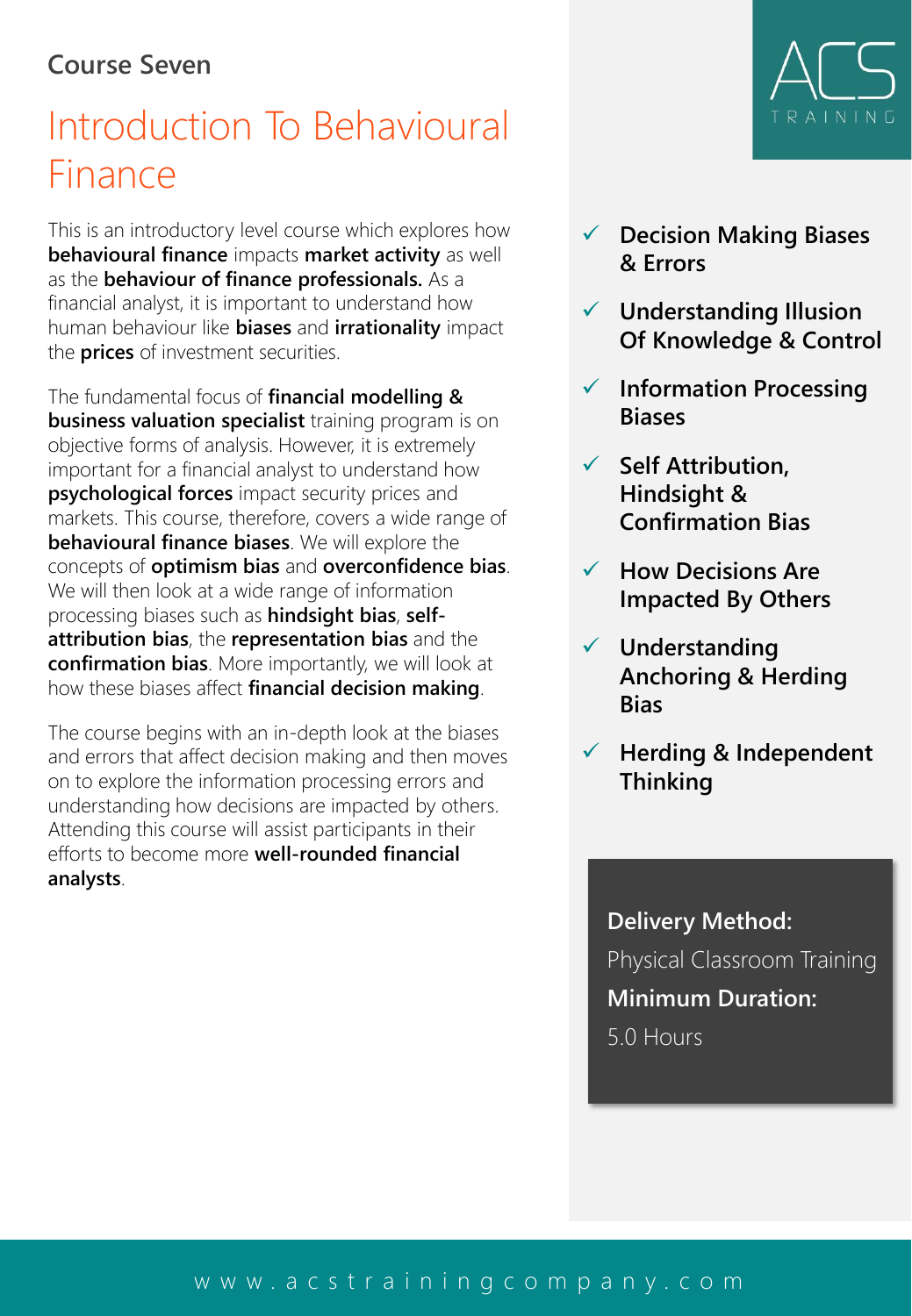#### **Course Seven**

## Introduction To Behavioural Finance

This is an introductory level course which explores how **behavioural finance** impacts **market activity** as well as the **behaviour of finance professionals.** As a financial analyst, it is important to understand how human behaviour like **biases** and **irrationality** impact the **prices** of investment securities.

The fundamental focus of **financial modelling & business valuation specialist** training program is on objective forms of analysis. However, it is extremely important for a financial analyst to understand how **psychological forces** impact security prices and markets. This course, therefore, covers a wide range of **behavioural finance biases**. We will explore the concepts of **optimism bias** and **overconfidence bias**. We will then look at a wide range of information processing biases such as **hindsight bias**, **selfattribution bias**, the **representation bias** and the **confirmation bias**. More importantly, we will look at how these biases affect **financial decision making**.

The course begins with an in-depth look at the biases and errors that affect decision making and then moves on to explore the information processing errors and understanding how decisions are impacted by others. Attending this course will assist participants in their efforts to become more **well-rounded financial analysts**.

- ✓ **Decision Making Biases & Errors**
- ✓ **Understanding Illusion Of Knowledge & Control**
- ✓ **Information Processing Biases**
- ✓ **Self Attribution, Hindsight & Confirmation Bias**
- ✓ **How Decisions Are Impacted By Others**
- ✓ **Understanding Anchoring & Herding Bias**
- ✓ **Herding & Independent Thinking**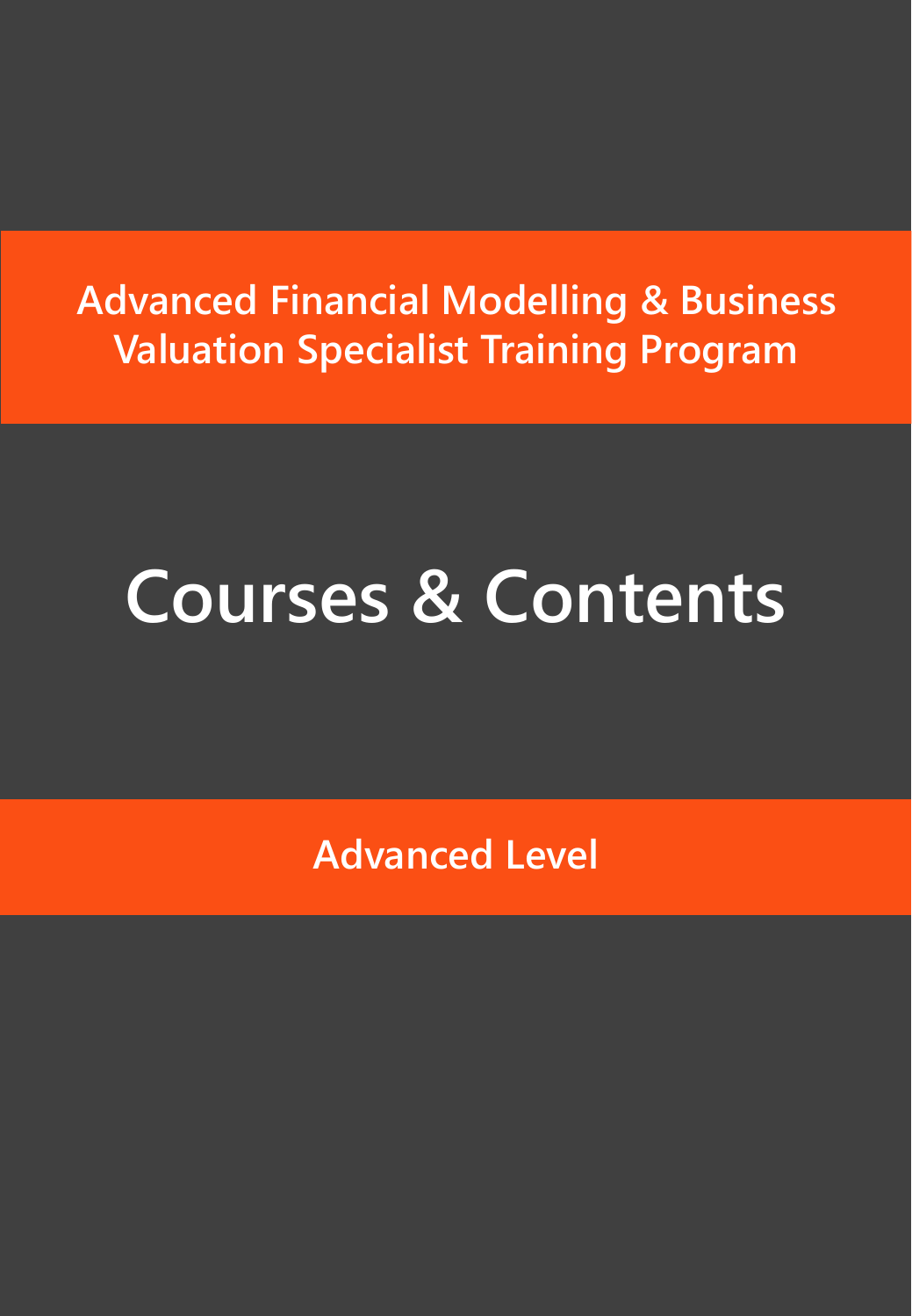## **Advanced Financial Modelling & Business Valuation Specialist Training Program**

## **Courses & Contents**

**Advanced Level**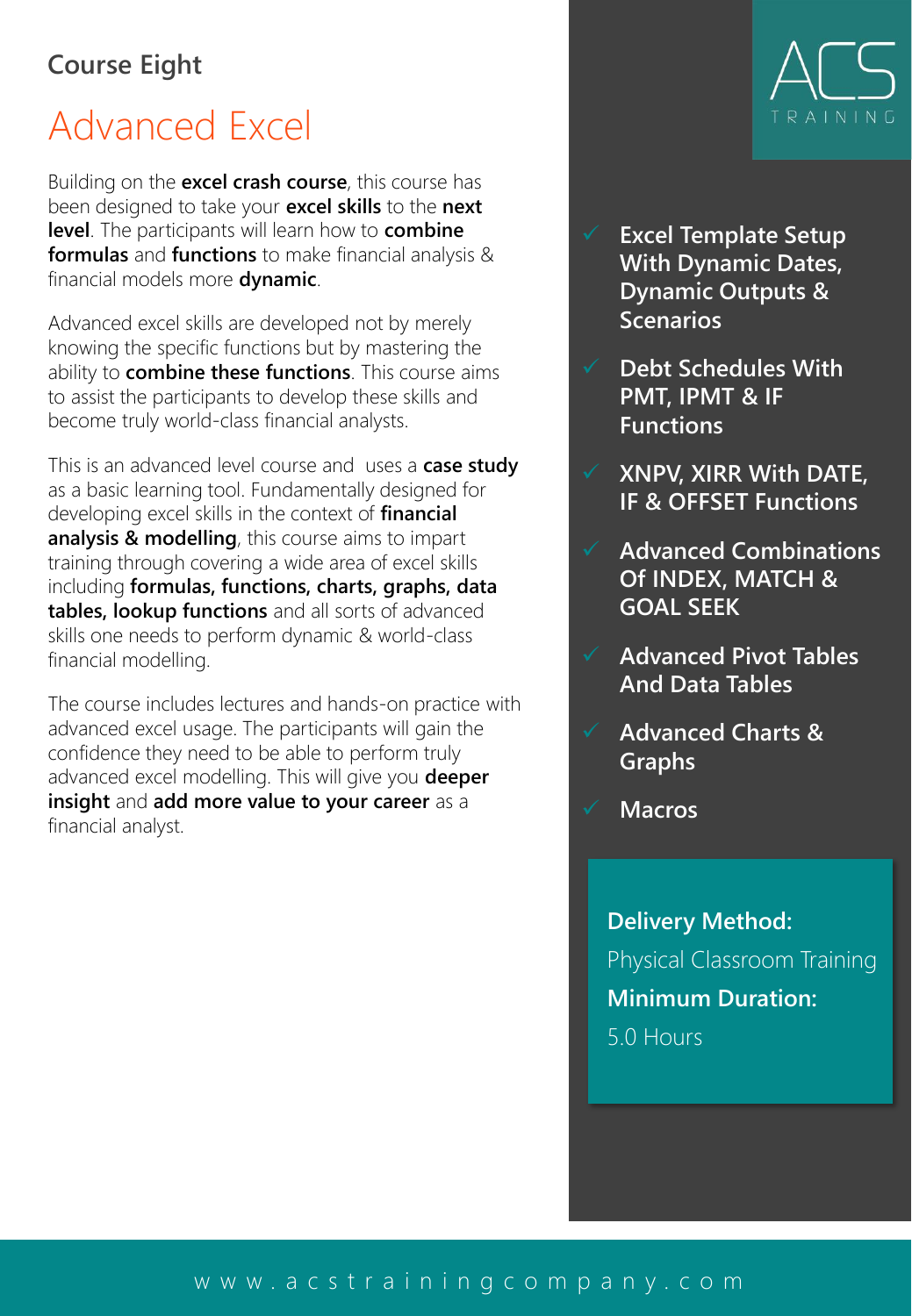#### **Course Eight**

## Advanced Excel

Building on the **excel crash course**, this course has been designed to take your **excel skills** to the **next level**. The participants will learn how to **combine formulas** and **functions** to make financial analysis & financial models more **dynamic**.

Advanced excel skills are developed not by merely knowing the specific functions but by mastering the ability to **combine these functions**. This course aims to assist the participants to develop these skills and become truly world-class financial analysts.

This is an advanced level course and uses a **case study**  as a basic learning tool. Fundamentally designed for developing excel skills in the context of **financial analysis & modelling**, this course aims to impart training through covering a wide area of excel skills including **formulas, functions, charts, graphs, data tables, lookup functions** and all sorts of advanced skills one needs to perform dynamic & world-class financial modelling.

The course includes lectures and hands-on practice with advanced excel usage. The participants will gain the confidence they need to be able to perform truly advanced excel modelling. This will give you **deeper insight** and **add more value to your career** as a financial analyst.



- ✓ **Excel Template Setup With Dynamic Dates, Dynamic Outputs & Scenarios**
- ✓ **Debt Schedules With PMT, IPMT & IF Functions**
- ✓ **XNPV, XIRR With DATE, IF & OFFSET Functions**
- ✓ **Advanced Combinations Of INDEX, MATCH & GOAL SEEK**
	- ✓ **Advanced Pivot Tables And Data Tables**
- ✓ **Advanced Charts & Graphs**
- ✓ **Macros**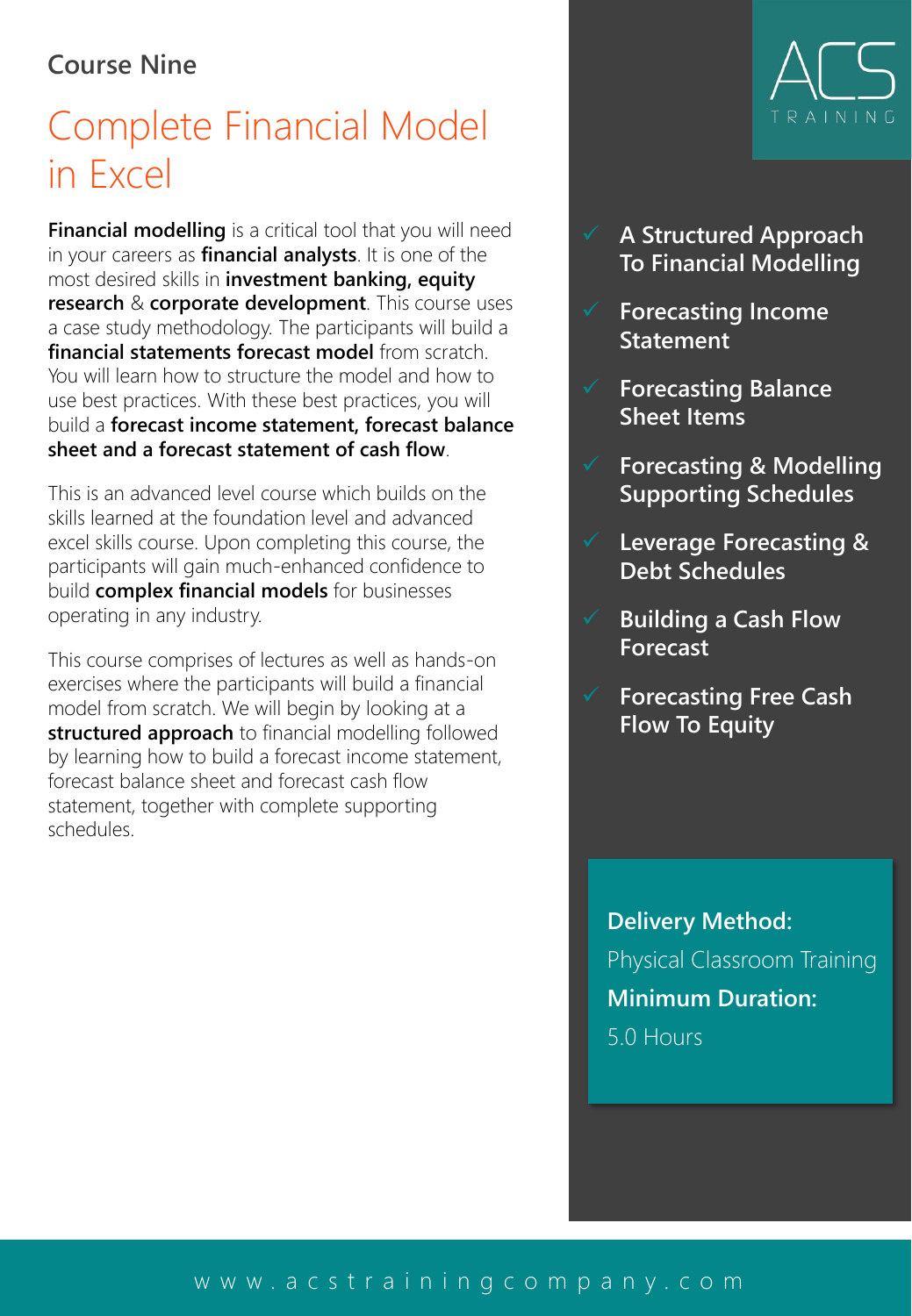#### **Course Nine**

## Complete Financial Model in Excel

**Financial modelling** is a critical tool that you will need in your careers as **financial analysts**. It is one of the most desired skills in **investment banking, equity research** & **corporate development**. This course uses a case study methodology. The participants will build a **financial statements forecast model** from scratch. You will learn how to structure the model and how to use best practices. With these best practices, you will build a **forecast income statement, forecast balance sheet and a forecast statement of cash flow**.

This is an advanced level course which builds on the skills learned at the foundation level and advanced excel skills course. Upon completing this course, the participants will gain much-enhanced confidence to build **complex financial models** for businesses operating in any industry.

This course comprises of lectures as well as hands-on exercises where the participants will build a financial model from scratch. We will begin by looking at a **structured approach** to financial modelling followed by learning how to build a forecast income statement, forecast balance sheet and forecast cash flow statement, together with complete supporting schedules.



- ✓ **A Structured Approach To Financial Modelling**
- ✓ **Forecasting Income Statement**
- ✓ **Forecasting Balance Sheet Items**
- ✓ **Forecasting & Modelling Supporting Schedules**
- ✓ **Leverage Forecasting & Debt Schedules**
- ✓ **Building a Cash Flow Forecast**
- ✓ **Forecasting Free Cash Flow To Equity**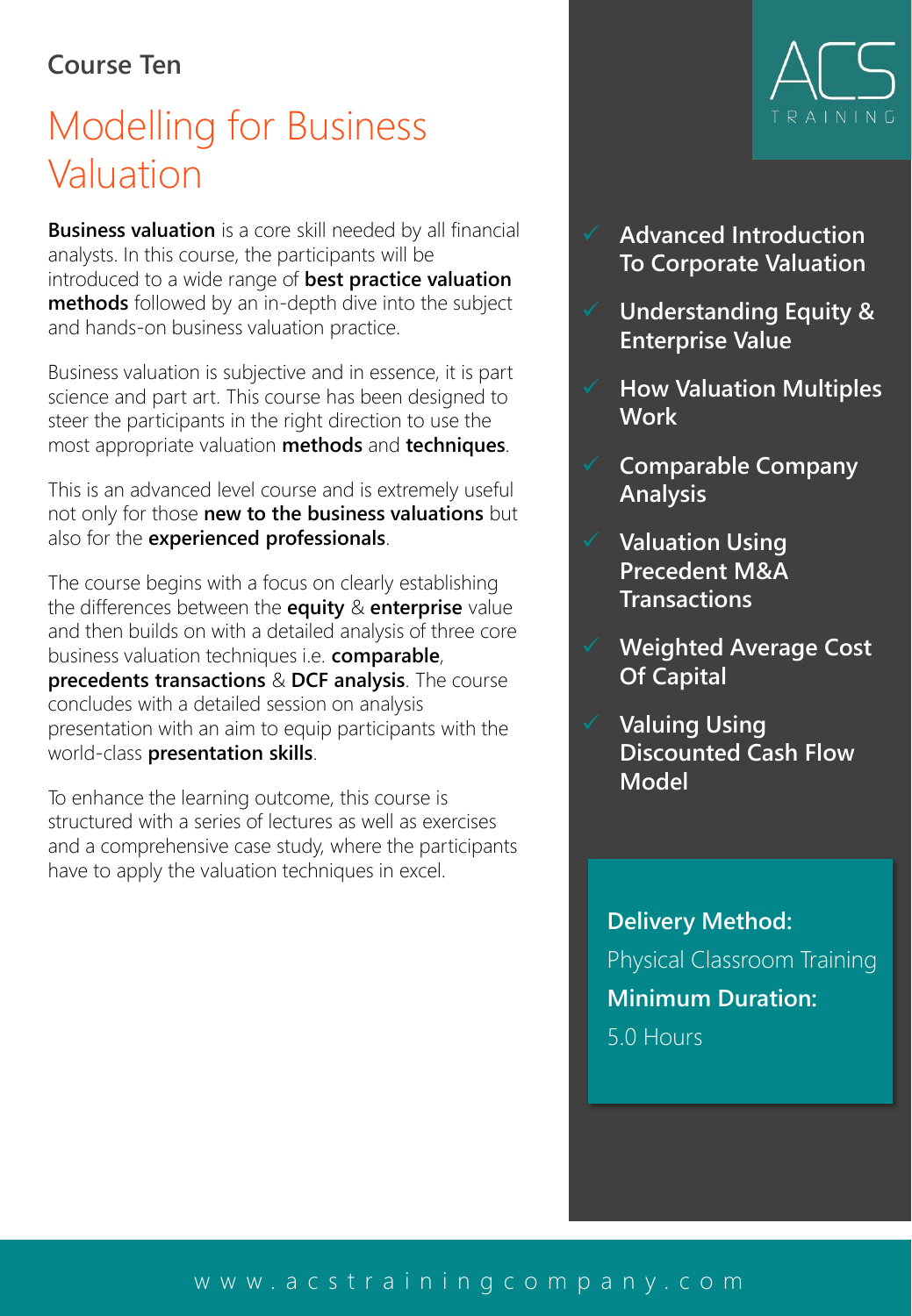#### **Course Ten**

## Modelling for Business Valuation

**Business valuation** is a core skill needed by all financial analysts. In this course, the participants will be introduced to a wide range of **best practice valuation methods** followed by an in-depth dive into the subject and hands-on business valuation practice.

Business valuation is subjective and in essence, it is part science and part art. This course has been designed to steer the participants in the right direction to use the most appropriate valuation **methods** and **techniques**.

This is an advanced level course and is extremely useful not only for those **new to the business valuations** but also for the **experienced professionals**.

The course begins with a focus on clearly establishing the differences between the **equity** & **enterprise** value and then builds on with a detailed analysis of three core business valuation techniques i.e. **comparable**, **precedents transactions** & **DCF analysis**. The course concludes with a detailed session on analysis presentation with an aim to equip participants with the world-class **presentation skills**.

To enhance the learning outcome, this course is structured with a series of lectures as well as exercises and a comprehensive case study, where the participants have to apply the valuation techniques in excel.



- ✓ **Advanced Introduction To Corporate Valuation**
- ✓ **Understanding Equity & Enterprise Value**
- ✓ **How Valuation Multiples Work**
- ✓ **Comparable Company Analysis**
- ✓ **Valuation Using Precedent M&A Transactions**
- ✓ **Weighted Average Cost Of Capital**
- ✓ **Valuing Using Discounted Cash Flow Model**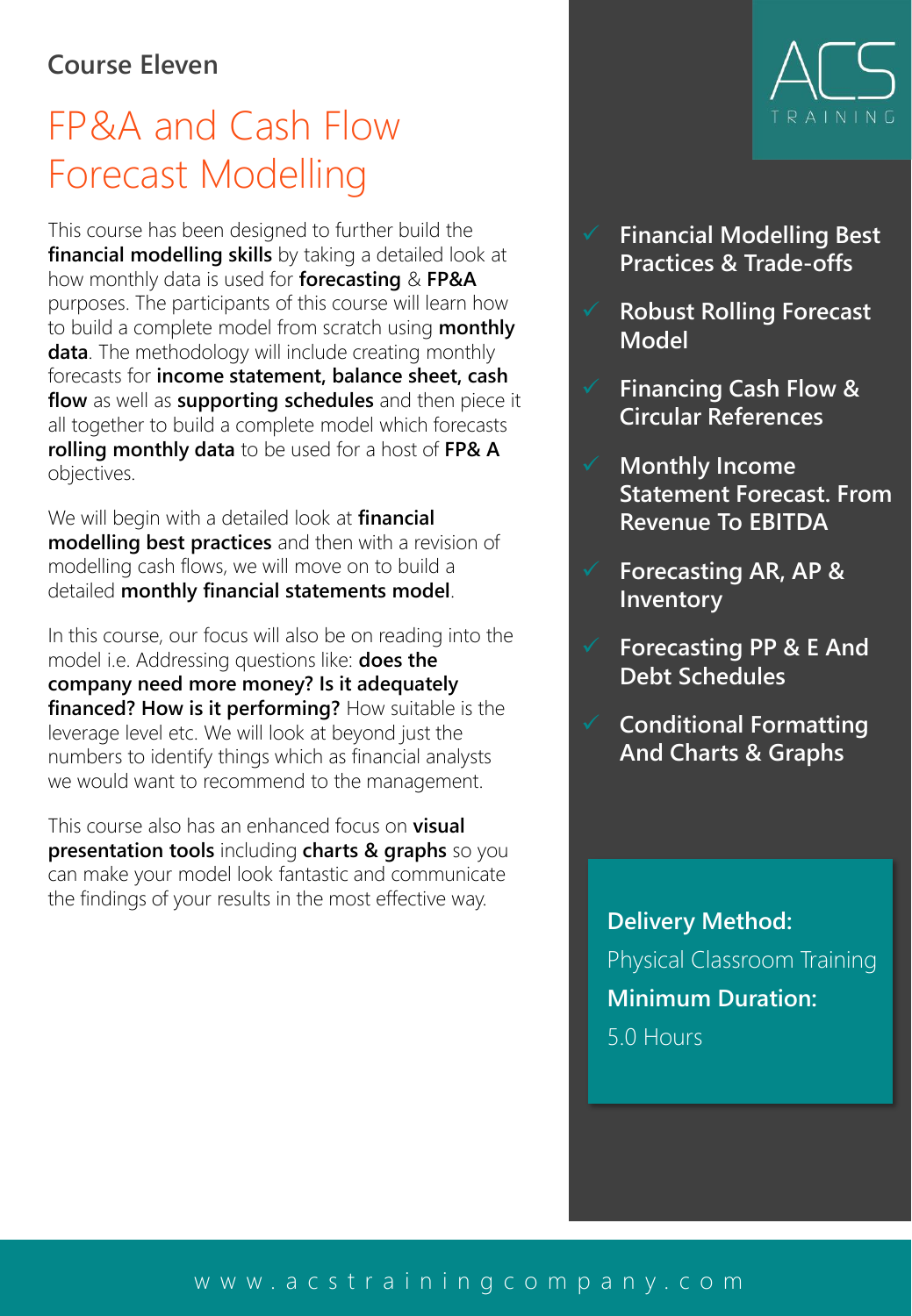#### **Course Eleven**

### FP&A and Cash Flow Forecast Modelling

This course has been designed to further build the **financial modelling skills** by taking a detailed look at how monthly data is used for **forecasting** & **FP&A** purposes. The participants of this course will learn how to build a complete model from scratch using **monthly data**. The methodology will include creating monthly forecasts for **income statement, balance sheet, cash flow** as well as **supporting schedules** and then piece it all together to build a complete model which forecasts **rolling monthly data** to be used for a host of **FP& A**  objectives.

We will begin with a detailed look at **financial modelling best practices** and then with a revision of modelling cash flows, we will move on to build a detailed **monthly financial statements model**.

In this course, our focus will also be on reading into the model i.e. Addressing questions like: **does the company need more money? Is it adequately financed? How is it performing?** How suitable is the leverage level etc. We will look at beyond just the numbers to identify things which as financial analysts we would want to recommend to the management.

This course also has an enhanced focus on **visual presentation tools** including **charts & graphs** so you can make your model look fantastic and communicate the findings of your results in the most effective way.



- ✓ **Financial Modelling Best Practices & Trade-offs**
- ✓ **Robust Rolling Forecast Model**
- ✓ **Financing Cash Flow & Circular References**
- ✓ **Monthly Income Statement Forecast. From Revenue To EBITDA**
- ✓ **Forecasting AR, AP & Inventory**
- ✓ **Forecasting PP & E And Debt Schedules**
- ✓ **Conditional Formatting And Charts & Graphs**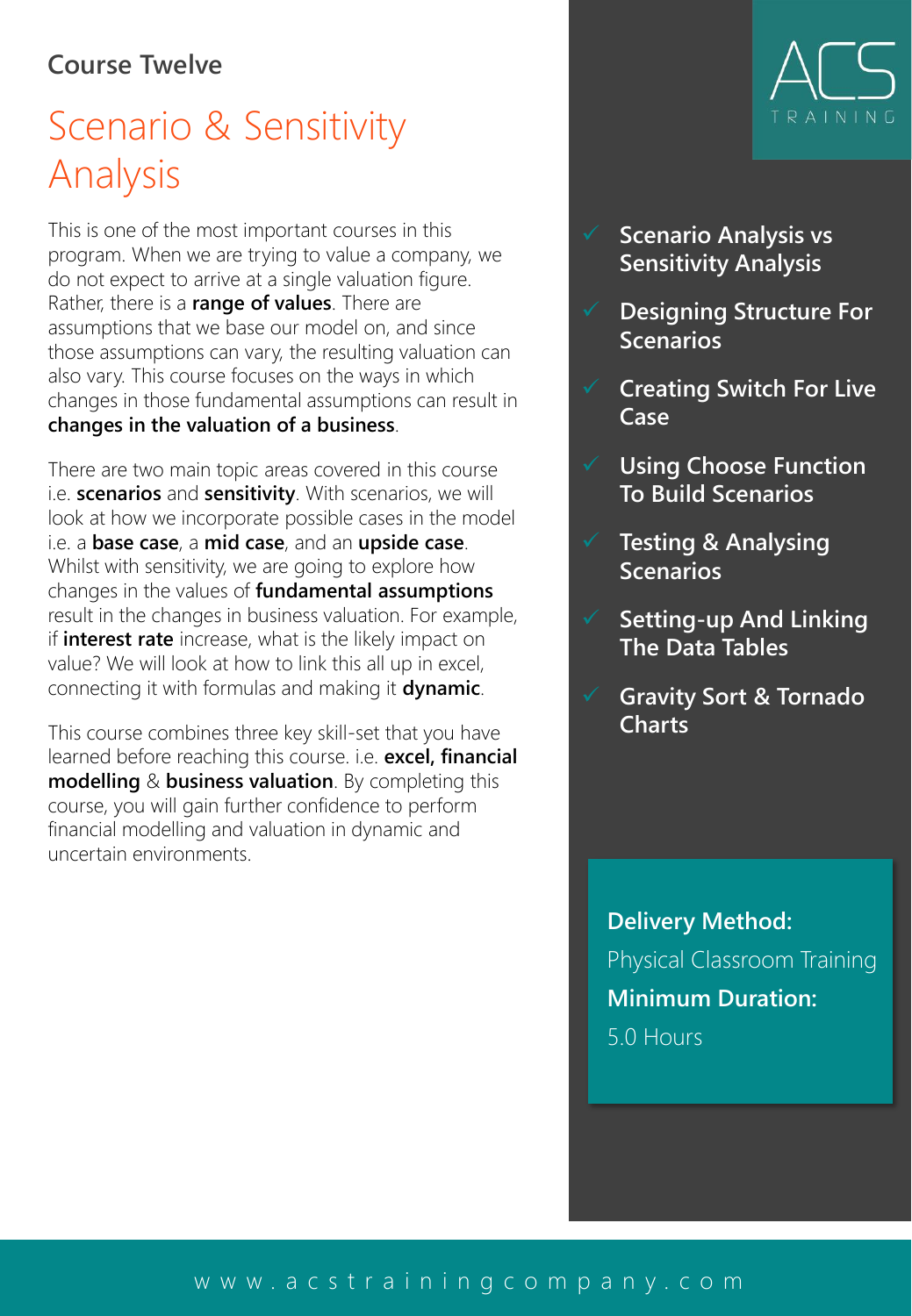#### **Course Twelve**

## Scenario & Sensitivity Analysis

This is one of the most important courses in this program. When we are trying to value a company, we do not expect to arrive at a single valuation figure. Rather, there is a **range of values**. There are assumptions that we base our model on, and since those assumptions can vary, the resulting valuation can also vary. This course focuses on the ways in which changes in those fundamental assumptions can result in **changes in the valuation of a business**.

There are two main topic areas covered in this course i.e. **scenarios** and **sensitivity**. With scenarios, we will look at how we incorporate possible cases in the model i.e. a **base case**, a **mid case**, and an **upside case**. Whilst with sensitivity, we are going to explore how changes in the values of **fundamental assumptions** result in the changes in business valuation. For example, if **interest rate** increase, what is the likely impact on value? We will look at how to link this all up in excel, connecting it with formulas and making it **dynamic**.

This course combines three key skill-set that you have learned before reaching this course. i.e. **excel, financial modelling** & **business valuation**. By completing this course, you will gain further confidence to perform financial modelling and valuation in dynamic and uncertain environments.



- **Scenario Analysis vs Sensitivity Analysis**
- ✓ **Designing Structure For Scenarios**
- ✓ **Creating Switch For Live Case**
- ✓ **Using Choose Function To Build Scenarios**
- ✓ **Testing & Analysing Scenarios**
- ✓ **Setting-up And Linking The Data Tables**
- ✓ **Gravity Sort & Tornado Charts**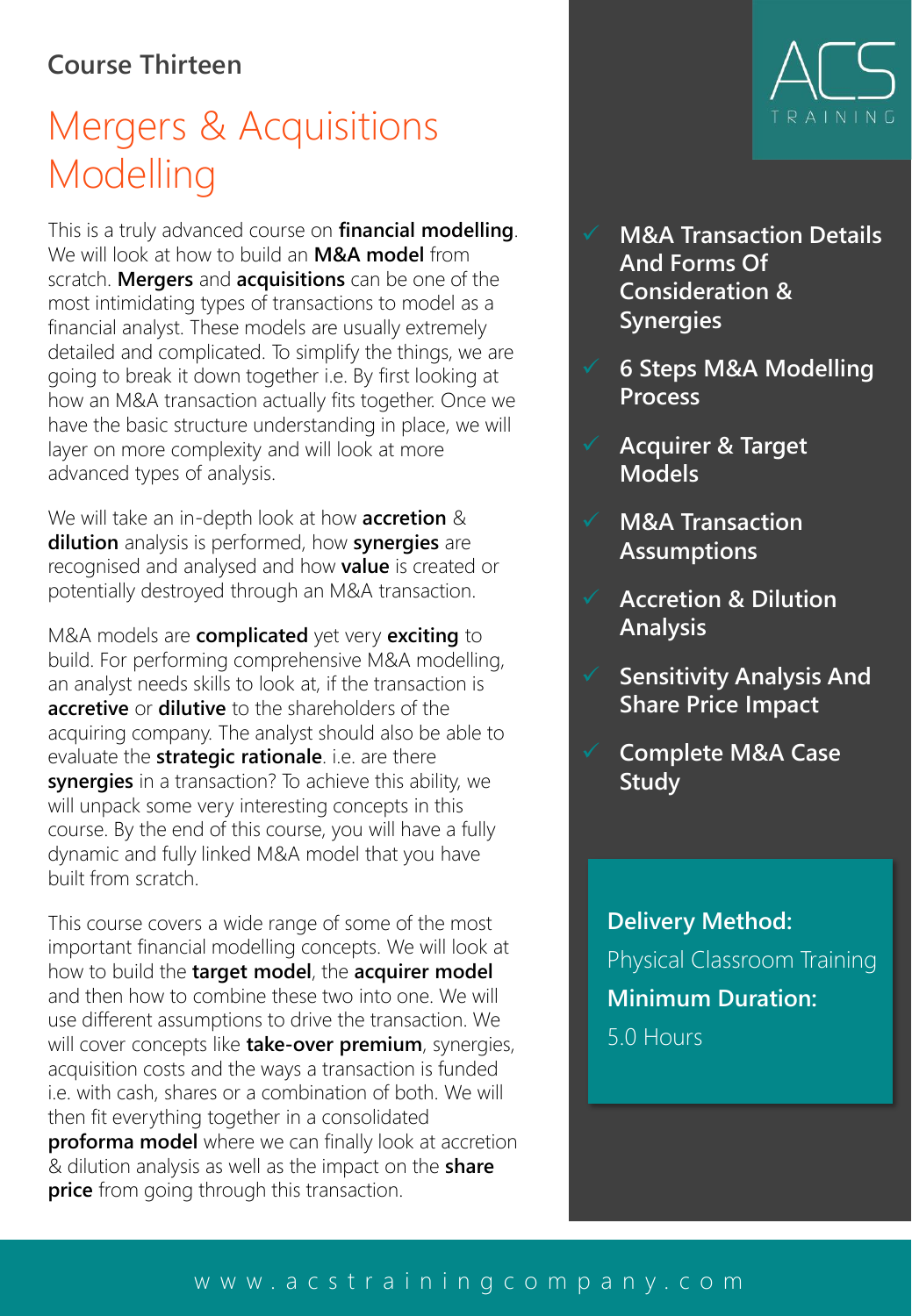#### **Course Thirteen**

## Mergers & Acquisitions Modelling

This is a truly advanced course on **financial modelling**. We will look at how to build an **M&A model** from scratch. **Mergers** and **acquisitions** can be one of the most intimidating types of transactions to model as a financial analyst. These models are usually extremely detailed and complicated. To simplify the things, we are going to break it down together i.e. By first looking at how an M&A transaction actually fits together. Once we have the basic structure understanding in place, we will layer on more complexity and will look at more advanced types of analysis.

We will take an in-depth look at how **accretion** & **dilution** analysis is performed, how **synergies** are recognised and analysed and how **value** is created or potentially destroyed through an M&A transaction.

M&A models are **complicated** yet very **exciting** to build. For performing comprehensive M&A modelling, an analyst needs skills to look at, if the transaction is **accretive** or **dilutive** to the shareholders of the acquiring company. The analyst should also be able to evaluate the **strategic rationale**. i.e. are there **synergies** in a transaction? To achieve this ability, we will unpack some very interesting concepts in this course. By the end of this course, you will have a fully dynamic and fully linked M&A model that you have built from scratch.

This course covers a wide range of some of the most important financial modelling concepts. We will look at how to build the **target model**, the **acquirer model**  and then how to combine these two into one. We will use different assumptions to drive the transaction. We will cover concepts like **take-over premium**, synergies, acquisition costs and the ways a transaction is funded i.e. with cash, shares or a combination of both. We will then fit everything together in a consolidated **proforma model** where we can finally look at accretion & dilution analysis as well as the impact on the **share price** from going through this transaction.



- **M&A Transaction Details And Forms Of Consideration & Synergies**
- ✓ **6 Steps M&A Modelling Process**
	- ✓ **Acquirer & Target Models**
- ✓ **M&A Transaction Assumptions**
- ✓ **Accretion & Dilution Analysis**
- ✓ **Sensitivity Analysis And Share Price Impact**
- ✓ **Complete M&A Case Study**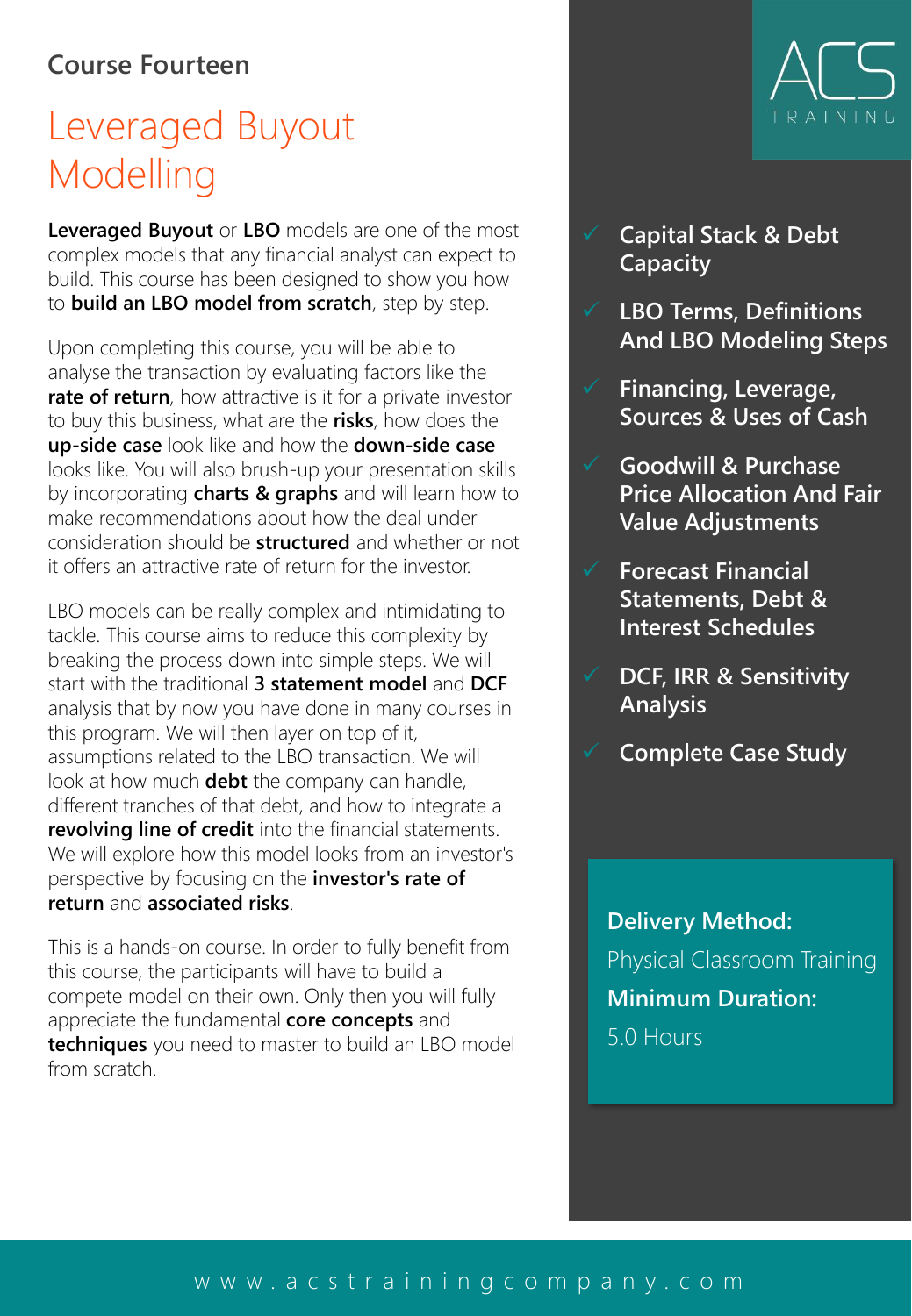#### **Course Fourteen**

## Leveraged Buyout Modelling

**Leveraged Buyout** or **LBO** models are one of the most complex models that any financial analyst can expect to build. This course has been designed to show you how to **build an LBO model from scratch**, step by step.

Upon completing this course, you will be able to analyse the transaction by evaluating factors like the **rate of return**, how attractive is it for a private investor to buy this business, what are the **risks**, how does the **up-side case** look like and how the **down-side case** looks like. You will also brush-up your presentation skills by incorporating **charts & graphs** and will learn how to make recommendations about how the deal under consideration should be **structured** and whether or not it offers an attractive rate of return for the investor.

LBO models can be really complex and intimidating to tackle. This course aims to reduce this complexity by breaking the process down into simple steps. We will start with the traditional **3 statement model** and **DCF** analysis that by now you have done in many courses in this program. We will then layer on top of it, assumptions related to the LBO transaction. We will look at how much **debt** the company can handle, different tranches of that debt, and how to integrate a **revolving line of credit** into the financial statements. We will explore how this model looks from an investor's perspective by focusing on the **investor's rate of return** and **associated risks**.

This is a hands-on course. In order to fully benefit from this course, the participants will have to build a compete model on their own. Only then you will fully appreciate the fundamental **core concepts** and **techniques** you need to master to build an LBO model from scratch.



- ✓ **Capital Stack & Debt Capacity**
- ✓ **LBO Terms, Definitions And LBO Modeling Steps**
- ✓ **Financing, Leverage, Sources & Uses of Cash**
- ✓ **Goodwill & Purchase Price Allocation And Fair Value Adjustments**
- ✓ **Forecast Financial Statements, Debt & Interest Schedules**
- ✓ **DCF, IRR & Sensitivity Analysis**
- ✓ **Complete Case Study**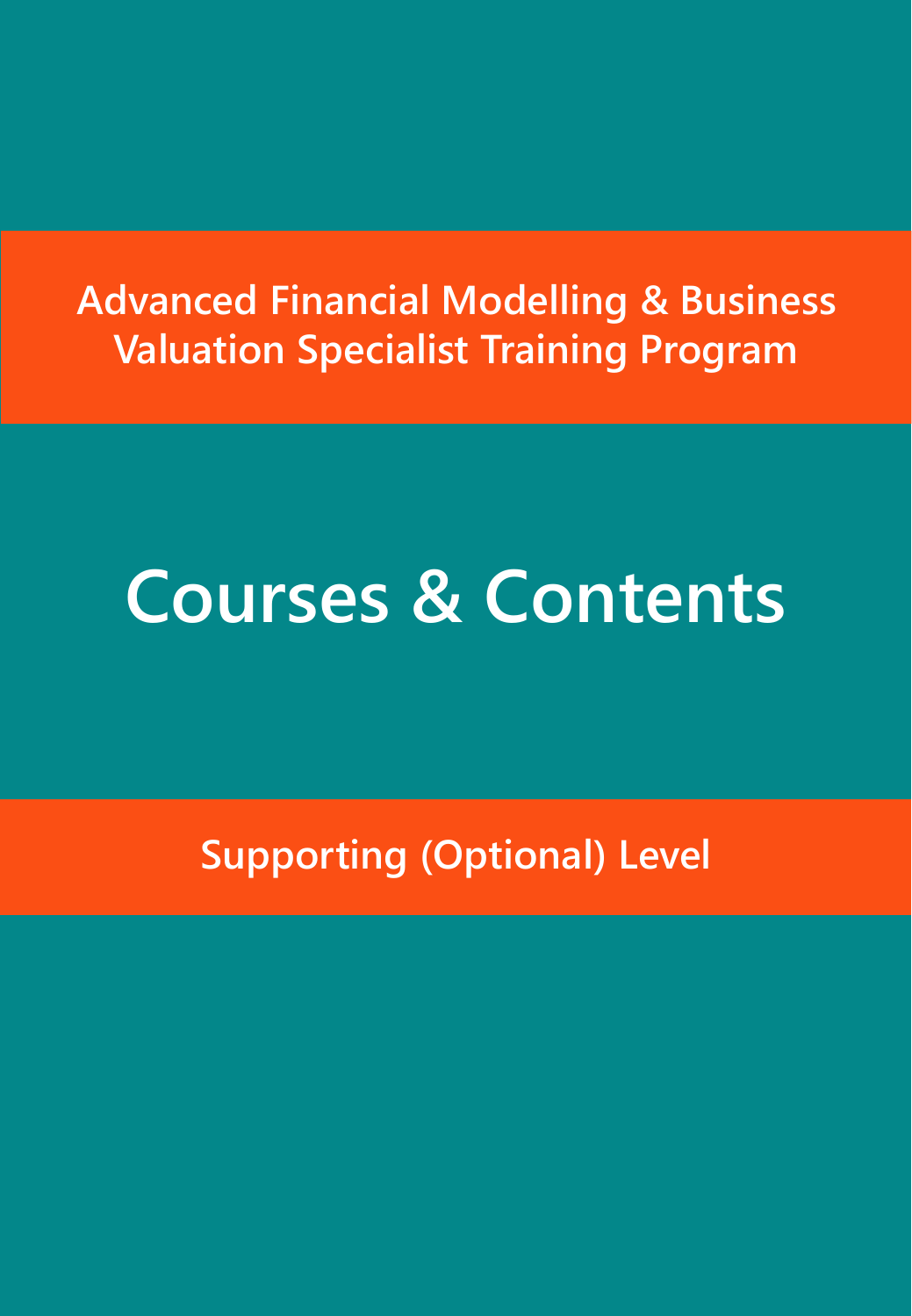## **Advanced Financial Modelling & Business Valuation Specialist Training Program**

## **Courses & Contents**

**Supporting (Optional) Level**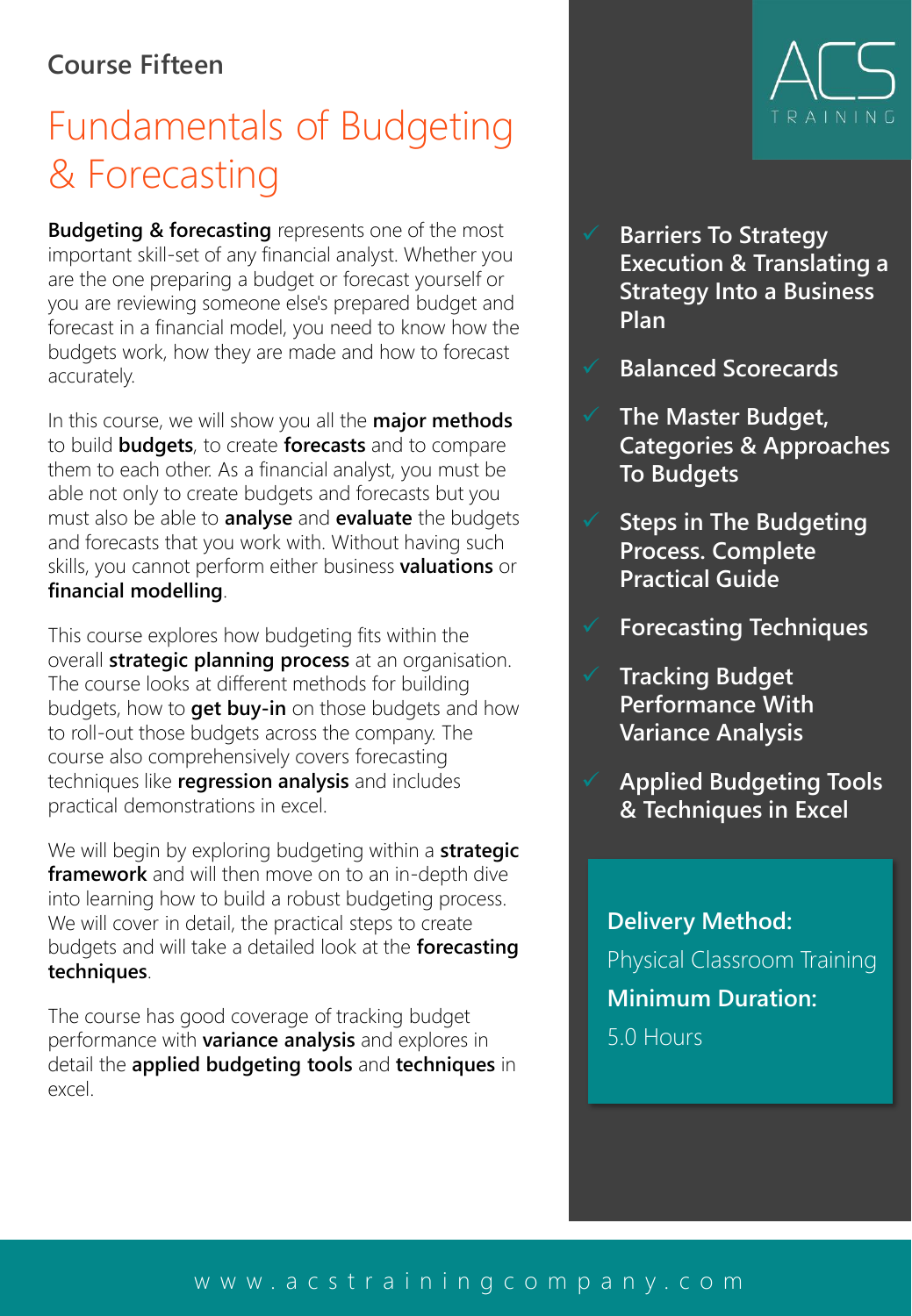#### **Course Fifteen**

## Fundamentals of Budgeting & Forecasting

**Budgeting & forecasting** represents one of the most important skill-set of any financial analyst. Whether you are the one preparing a budget or forecast yourself or you are reviewing someone else's prepared budget and forecast in a financial model, you need to know how the budgets work, how they are made and how to forecast accurately.

In this course, we will show you all the **major methods** to build **budgets**, to create **forecasts** and to compare them to each other. As a financial analyst, you must be able not only to create budgets and forecasts but you must also be able to **analyse** and **evaluate** the budgets and forecasts that you work with. Without having such skills, you cannot perform either business **valuations** or **financial modelling**.

This course explores how budgeting fits within the overall **strategic planning process** at an organisation. The course looks at different methods for building budgets, how to **get buy-in** on those budgets and how to roll-out those budgets across the company. The course also comprehensively covers forecasting techniques like **regression analysis** and includes practical demonstrations in excel.

We will begin by exploring budgeting within a **strategic framework** and will then move on to an in-depth dive into learning how to build a robust budgeting process. We will cover in detail, the practical steps to create budgets and will take a detailed look at the **forecasting techniques**.

The course has good coverage of tracking budget performance with **variance analysis** and explores in detail the **applied budgeting tools** and **techniques** in excel.



- **Barriers To Strategy Execution & Translating a Strategy Into a Business Plan**
- ✓ **Balanced Scorecards**
- ✓ **The Master Budget, Categories & Approaches To Budgets**
	- **Steps in The Budgeting Process. Complete Practical Guide**
- ✓ **Forecasting Techniques**
- ✓ **Tracking Budget Performance With Variance Analysis**
- ✓ **Applied Budgeting Tools & Techniques in Excel**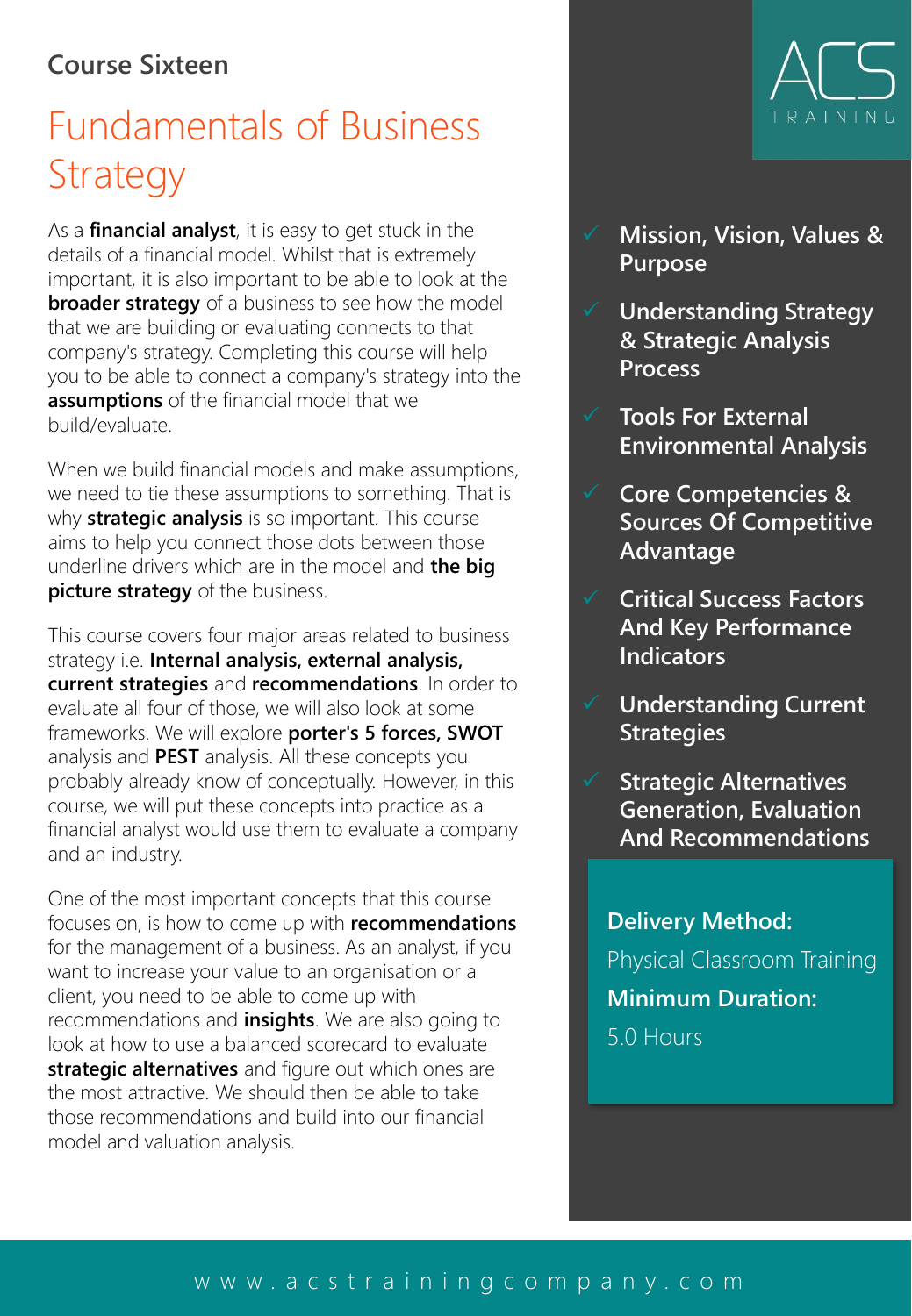#### **Course Sixteen**

## Fundamentals of Business **Strategy**

As a **financial analyst**, it is easy to get stuck in the details of a financial model. Whilst that is extremely important, it is also important to be able to look at the **broader strategy** of a business to see how the model that we are building or evaluating connects to that company's strategy. Completing this course will help you to be able to connect a company's strategy into the **assumptions** of the financial model that we build/evaluate.

When we build financial models and make assumptions, we need to tie these assumptions to something. That is why **strategic analysis** is so important. This course aims to help you connect those dots between those underline drivers which are in the model and **the big picture strategy** of the business.

This course covers four major areas related to business strategy i.e. **Internal analysis, external analysis, current strategies** and **recommendations**. In order to evaluate all four of those, we will also look at some frameworks. We will explore **porter's 5 forces, SWOT** analysis and **PEST** analysis. All these concepts you probably already know of conceptually. However, in this course, we will put these concepts into practice as a financial analyst would use them to evaluate a company and an industry.

One of the most important concepts that this course focuses on, is how to come up with **recommendations** for the management of a business. As an analyst, if you want to increase your value to an organisation or a client, you need to be able to come up with recommendations and **insights**. We are also going to look at how to use a balanced scorecard to evaluate **strategic alternatives** and figure out which ones are the most attractive. We should then be able to take those recommendations and build into our financial model and valuation analysis.



- ✓ **Mission, Vision, Values & Purpose**
- ✓ **Understanding Strategy & Strategic Analysis Process**
- ✓ **Tools For External Environmental Analysis**
- ✓ **Core Competencies & Sources Of Competitive Advantage**
- ✓ **Critical Success Factors And Key Performance Indicators**
- ✓ **Understanding Current Strategies**
- ✓ **Strategic Alternatives Generation, Evaluation And Recommendations**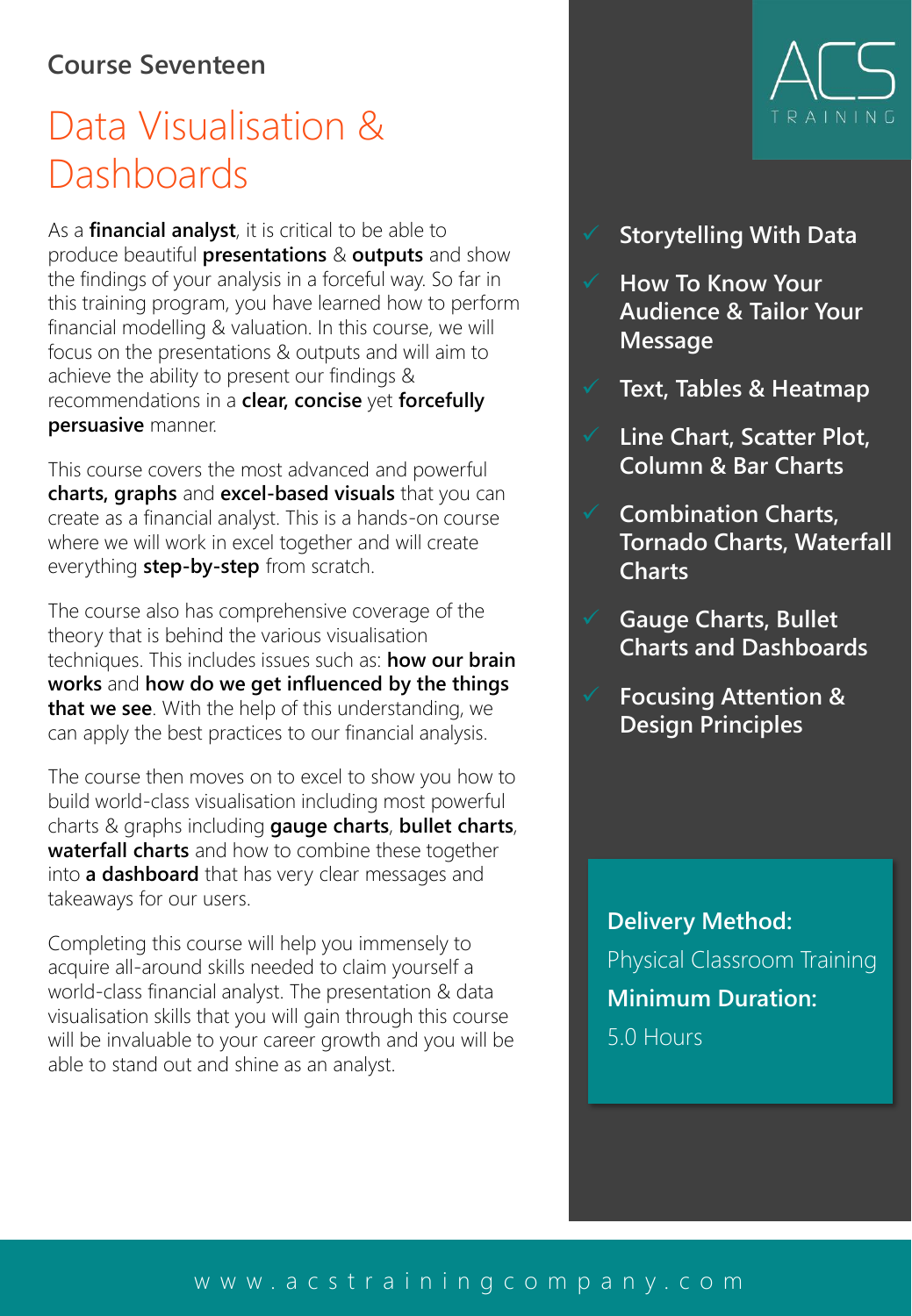#### **Course Seventeen**

## Data Visualisation & **Dashboards**

As a **financial analyst**, it is critical to be able to produce beautiful **presentations** & **outputs** and show the findings of your analysis in a forceful way. So far in this training program, you have learned how to perform financial modelling & valuation. In this course, we will focus on the presentations & outputs and will aim to achieve the ability to present our findings & recommendations in a **clear, concise** yet **forcefully persuasive** manner.

This course covers the most advanced and powerful **charts, graphs** and **excel-based visuals** that you can create as a financial analyst. This is a hands-on course where we will work in excel together and will create everything **step-by-step** from scratch.

The course also has comprehensive coverage of the theory that is behind the various visualisation techniques. This includes issues such as: **how our brain works** and **how do we get influenced by the things that we see**. With the help of this understanding, we can apply the best practices to our financial analysis.

The course then moves on to excel to show you how to build world-class visualisation including most powerful charts & graphs including **gauge charts**, **bullet charts**, **waterfall charts** and how to combine these together into **a dashboard** that has very clear messages and takeaways for our users.

Completing this course will help you immensely to acquire all-around skills needed to claim yourself a world-class financial analyst. The presentation & data visualisation skills that you will gain through this course will be invaluable to your career growth and you will be able to stand out and shine as an analyst.



#### ✓ **Storytelling With Data**

- ✓ **How To Know Your Audience & Tailor Your Message**
- ✓ **Text, Tables & Heatmap**
- ✓ **Line Chart, Scatter Plot, Column & Bar Charts**
- ✓ **Combination Charts, Tornado Charts, Waterfall Charts**
- ✓ **Gauge Charts, Bullet Charts and Dashboards**
- ✓ **Focusing Attention & Design Principles**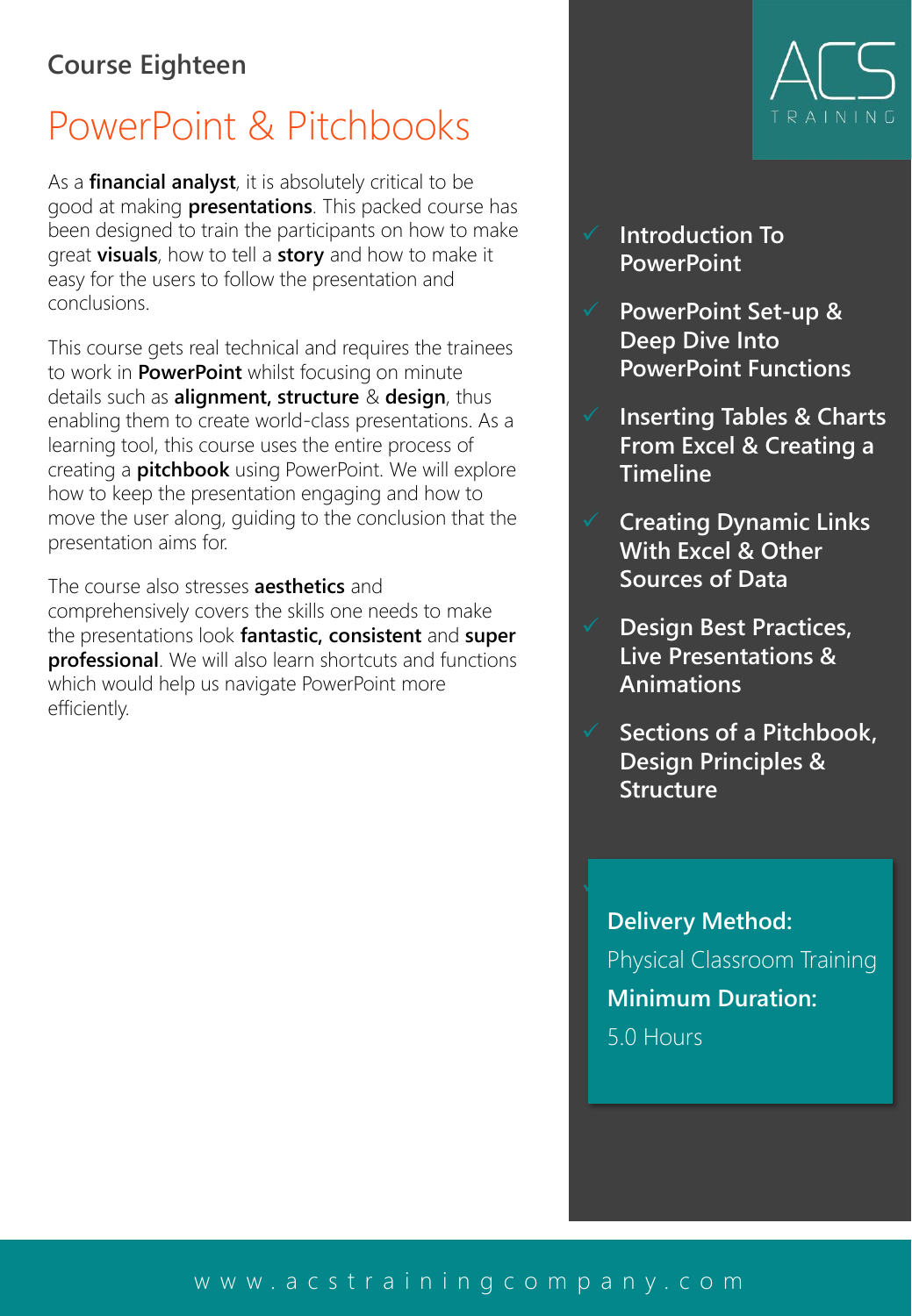#### **Course Eighteen**

### PowerPoint & Pitchbooks

As a **financial analyst**, it is absolutely critical to be good at making **presentations**. This packed course has been designed to train the participants on how to make great **visuals**, how to tell a **story** and how to make it easy for the users to follow the presentation and conclusions.

This course gets real technical and requires the trainees to work in **PowerPoint** whilst focusing on minute details such as **alignment, structure** & **design**, thus enabling them to create world-class presentations. As a learning tool, this course uses the entire process of creating a **pitchbook** using PowerPoint. We will explore how to keep the presentation engaging and how to move the user along, guiding to the conclusion that the presentation aims for.

The course also stresses **aesthetics** and comprehensively covers the skills one needs to make the presentations look **fantastic, consistent** and **super professional**. We will also learn shortcuts and functions which would help us navigate PowerPoint more efficiently.

- ✓ **Introduction To PowerPoint**
- ✓ **PowerPoint Set-up & Deep Dive Into PowerPoint Functions**
- ✓ **Inserting Tables & Charts From Excel & Creating a Timeline**
- ✓ **Creating Dynamic Links With Excel & Other Sources of Data**
- ✓ **Design Best Practices, Live Presentations & Animations**
	- ✓ **Sections of a Pitchbook, Design Principles & Structure**

**Delivery Method:** Physical Classroom Training **Minimum Duration:** 5.0 Hours

✓ **Step-by-step Creation Of** 

#### [w w w . a c s t r a i n i n g c o m p a n y . c o m](http://www.acstrainingcompany.com/)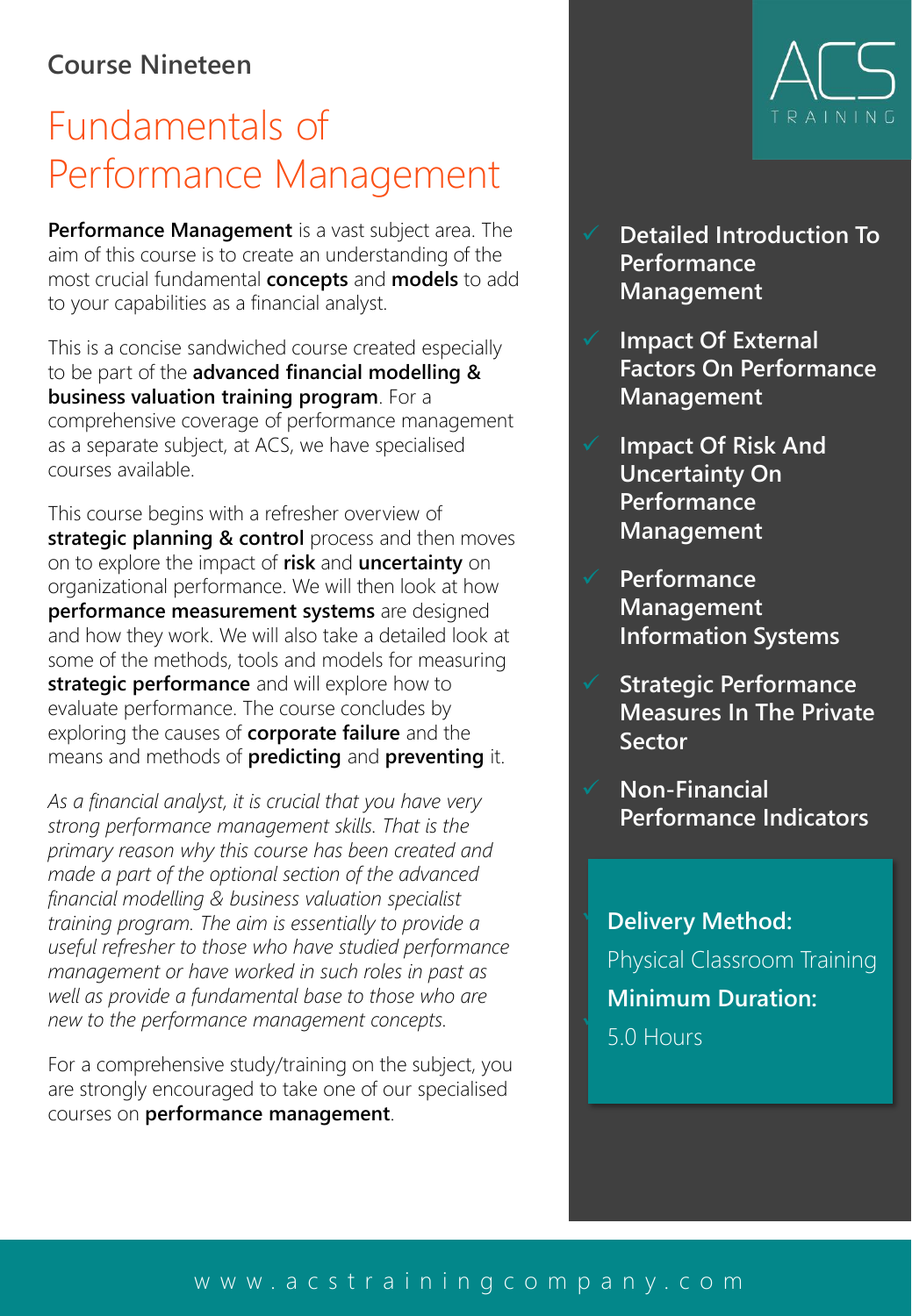#### **Course Nineteen**

## Fundamentals of Performance Management

**Performance Management** is a vast subject area. The aim of this course is to create an understanding of the most crucial fundamental **concepts** and **models** to add to your capabilities as a financial analyst.

This is a concise sandwiched course created especially to be part of the **advanced financial modelling & business valuation training program**. For a comprehensive coverage of performance management as a separate subject, at ACS, we have specialised courses available.

This course begins with a refresher overview of **strategic planning & control** process and then moves on to explore the impact of **risk** and **uncertainty** on organizational performance. We will then look at how **performance measurement systems** are designed and how they work. We will also take a detailed look at some of the methods, tools and models for measuring **strategic performance** and will explore how to evaluate performance. The course concludes by exploring the causes of **corporate failure** and the means and methods of **predicting** and **preventing** it.

*As a financial analyst, it is crucial that you have very strong performance management skills. That is the primary reason why this course has been created and made a part of the optional section of the advanced financial modelling & business valuation specialist training program. The aim is essentially to provide a useful refresher to those who have studied performance management or have worked in such roles in past as well as provide a fundamental base to those who are new to the performance management concepts.*

For a comprehensive study/training on the subject, you are strongly encouraged to take one of our specialised courses on **performance management**.



- **Detailed Introduction To Performance Management**
- **Impact Of External Factors On Performance Management**
- ✓ **Impact Of Risk And Uncertainty On Performance Management**
- ✓ **Performance Management Information Systems**
- ✓ **Strategic Performance Measures In The Private Sector**
- ✓ **Non-Financial Performance Indicators**

**b** Delivery Method: **Preventing Corporate**  Physical Classroom Training ✓ **Creation Of a World-Class Pitchbook Minimum Duration:**

#### [w w w . a c s t r a i n i n g c o m p a n y . c o m](http://www.acstrainingcompany.com/)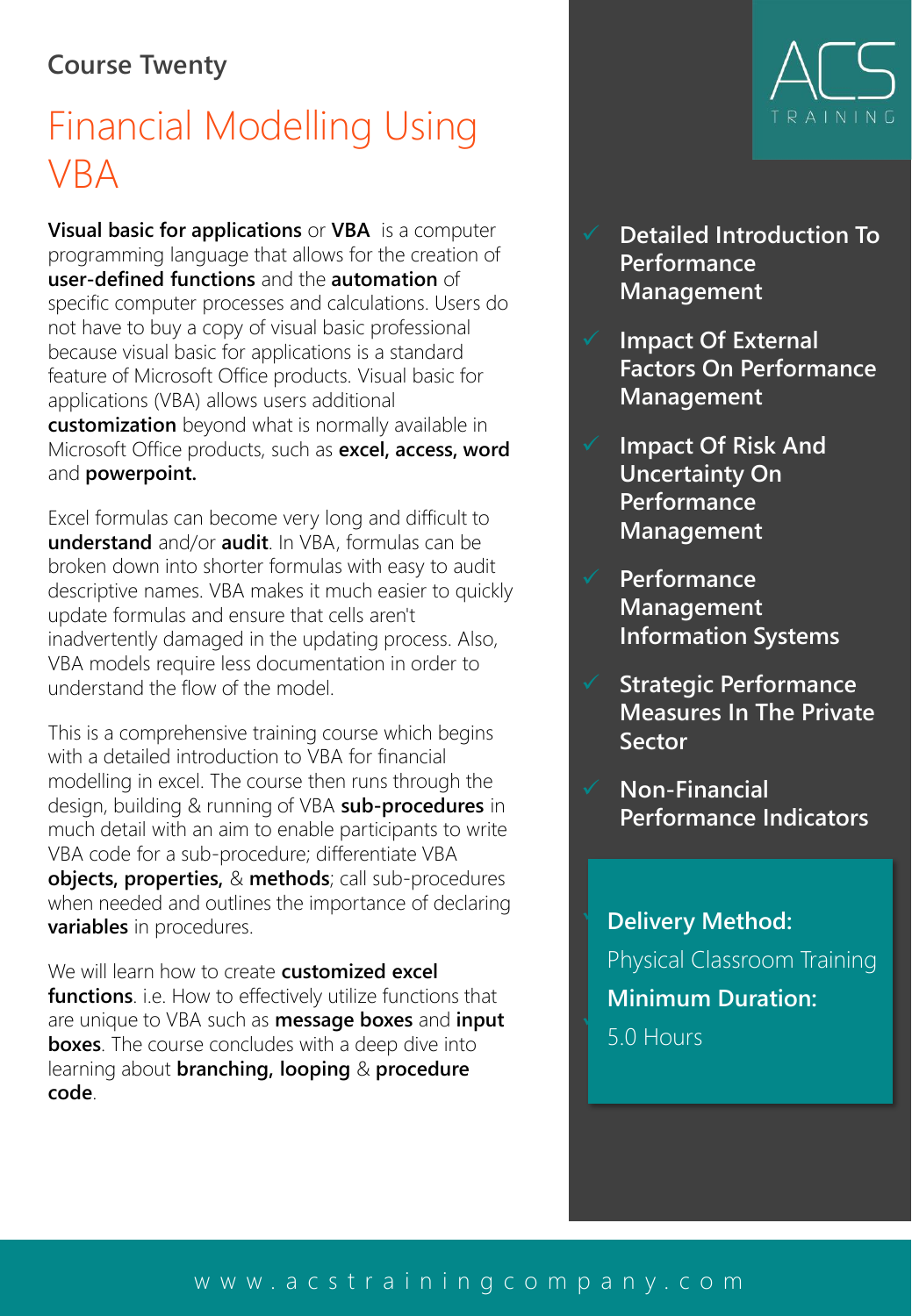#### **Course Twenty**

## Financial Modelling Using VBA

**Visual basic for applications** or **VBA** is a computer programming language that allows for the creation of **user-defined functions** and the **automation** of specific computer processes and calculations. Users do not have to buy a copy of visual basic professional because visual basic for applications is a standard feature of Microsoft Office products. Visual basic for applications (VBA) allows users additional **customization** beyond what is normally available in Microsoft Office products, such as **excel, access, word**  and **powerpoint.**

Excel formulas can become very long and difficult to **understand** and/or **audit**. In VBA, formulas can be broken down into shorter formulas with easy to audit descriptive names. VBA makes it much easier to quickly update formulas and ensure that cells aren't inadvertently damaged in the updating process. Also, VBA models require less documentation in order to understand the flow of the model.

This is a comprehensive training course which begins with a detailed introduction to VBA for financial modelling in excel. The course then runs through the design, building & running of VBA **sub-procedures** in much detail with an aim to enable participants to write VBA code for a sub-procedure; differentiate VBA **objects, properties,** & **methods**; call sub-procedures when needed and outlines the importance of declaring **variables** in procedures.

We will learn how to create **customized excel functions**. i.e. How to effectively utilize functions that are unique to VBA such as **message boxes** and **input boxes**. The course concludes with a deep dive into learning about **branching, looping** & **procedure code**.



- **Detailed Introduction To Performance Management**
- **Impact Of External Factors On Performance Management**
- ✓ **Impact Of Risk And Uncertainty On Performance Management**
- ✓ **Performance Management Information Systems**
- ✓ **Strategic Performance Measures In The Private Sector**
- ✓ **Non-Financial Performance Indicators**

**b** Delivery Method: **Preventing Corporate**  Physical Classroom Training ✓ **Creation Of a World-Class Pitchbook Minimum Duration:**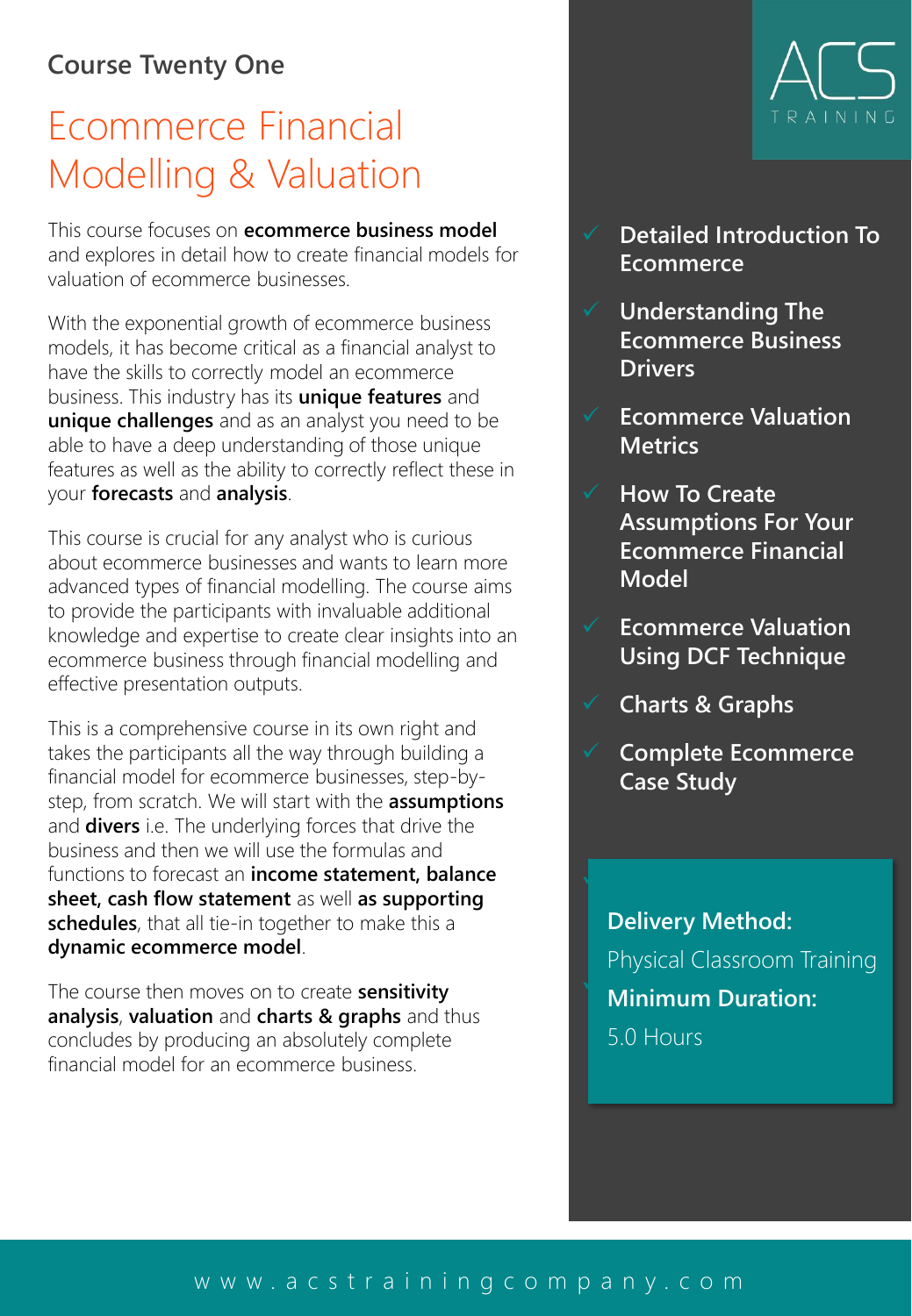#### **Course Twenty One**

### Ecommerce Financial Modelling & Valuation

This course focuses on **ecommerce business model**  and explores in detail how to create financial models for valuation of ecommerce businesses.

With the exponential growth of ecommerce business models, it has become critical as a financial analyst to have the skills to correctly model an ecommerce business. This industry has its **unique features** and **unique challenges** and as an analyst you need to be able to have a deep understanding of those unique features as well as the ability to correctly reflect these in your **forecasts** and **analysis**.

This course is crucial for any analyst who is curious about ecommerce businesses and wants to learn more advanced types of financial modelling. The course aims to provide the participants with invaluable additional knowledge and expertise to create clear insights into an ecommerce business through financial modelling and effective presentation outputs.

This is a comprehensive course in its own right and takes the participants all the way through building a financial model for ecommerce businesses, step-bystep, from scratch. We will start with the **assumptions**  and **divers** i.e. The underlying forces that drive the business and then we will use the formulas and functions to forecast an **income statement, balance sheet, cash flow statement** as well **as supporting schedules**, that all tie-in together to make this a **dynamic ecommerce model**.

The course then moves on to create **sensitivity analysis**, **valuation** and **charts & graphs** and thus concludes by producing an absolutely complete financial model for an ecommerce business.



- ✓ **Detailed Introduction To Ecommerce**
- ✓ **Understanding The Ecommerce Business Drivers**
- ✓ **Ecommerce Valuation Metrics**
- ✓ **How To Create Assumptions For Your Ecommerce Financial Model**
- ✓ **Ecommerce Valuation Using DCF Technique**
- ✓ **Charts & Graphs**

✓ **Predicting And** 

✓ **Complete Ecommerce Case Study**

**Preventing Corporate Failure ◯ A4: Creation Of Montice Of A** riminium Durau **Delivery Method:** Physical Classroom Training **Minimum Duration:** 5.0 Hours